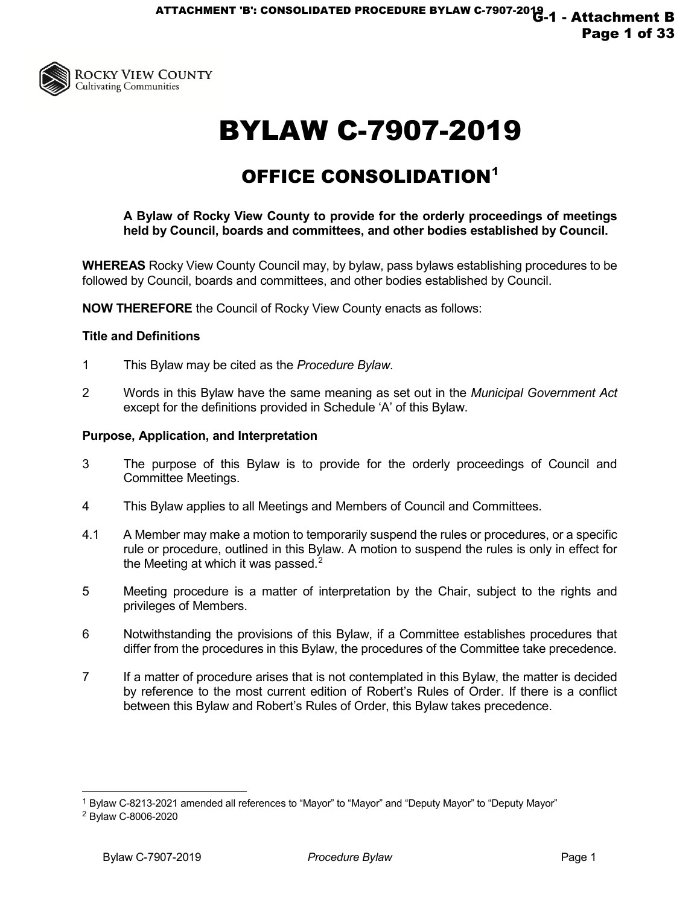

# BYLAW C-7907-2019

# OFFICE CONSOLIDATION[1](#page-0-0)

**A Bylaw of Rocky View County to provide for the orderly proceedings of meetings held by Council, boards and committees, and other bodies established by Council.**

**WHEREAS** Rocky View County Council may, by bylaw, pass bylaws establishing procedures to be followed by Council, boards and committees, and other bodies established by Council.

**NOW THEREFORE** the Council of Rocky View County enacts as follows:

#### **Title and Definitions**

- 1 This Bylaw may be cited as the *Procedure Bylaw.*
- 2 Words in this Bylaw have the same meaning as set out in the *Municipal Government Act*  except for the definitions provided in Schedule 'A' of this Bylaw.

#### **Purpose, Application, and Interpretation**

- 3 The purpose of this Bylaw is to provide for the orderly proceedings of Council and Committee Meetings.
- 4 This Bylaw applies to all Meetings and Members of Council and Committees.
- 4.1 A Member may make a motion to temporarily suspend the rules or procedures, or a specific rule or procedure, outlined in this Bylaw. A motion to suspend the rules is only in effect for the Meeting at which it was passed. $2$
- 5 Meeting procedure is a matter of interpretation by the Chair, subject to the rights and privileges of Members.
- 6 Notwithstanding the provisions of this Bylaw, if a Committee establishes procedures that differ from the procedures in this Bylaw, the procedures of the Committee take precedence.
- 7 If a matter of procedure arises that is not contemplated in this Bylaw, the matter is decided by reference to the most current edition of Robert's Rules of Order. If there is a conflict between this Bylaw and Robert's Rules of Order, this Bylaw takes precedence.

<span id="page-0-0"></span><sup>1</sup> Bylaw C-8213-2021 amended all references to "Mayor" to "Mayor" and "Deputy Mayor" to "Deputy Mayor"

<span id="page-0-1"></span><sup>2</sup> Bylaw C-8006-2020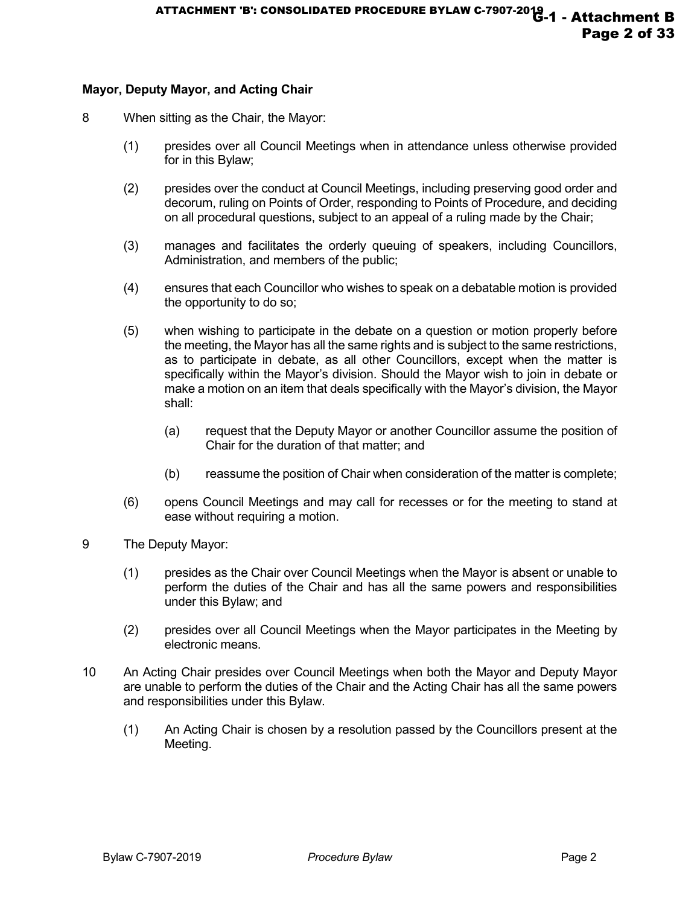# **Mayor, Deputy Mayor, and Acting Chair**

- 8 When sitting as the Chair, the Mayor:
	- (1) presides over all Council Meetings when in attendance unless otherwise provided for in this Bylaw;
	- (2) presides over the conduct at Council Meetings, including preserving good order and decorum, ruling on Points of Order, responding to Points of Procedure, and deciding on all procedural questions, subject to an appeal of a ruling made by the Chair;
	- (3) manages and facilitates the orderly queuing of speakers, including Councillors, Administration, and members of the public;
	- (4) ensures that each Councillor who wishes to speak on a debatable motion is provided the opportunity to do so;
	- (5) when wishing to participate in the debate on a question or motion properly before the meeting, the Mayor has all the same rights and is subject to the same restrictions, as to participate in debate, as all other Councillors, except when the matter is specifically within the Mayor's division. Should the Mayor wish to join in debate or make a motion on an item that deals specifically with the Mayor's division, the Mayor shall:
		- (a) request that the Deputy Mayor or another Councillor assume the position of Chair for the duration of that matter; and
		- (b) reassume the position of Chair when consideration of the matter is complete;
	- (6) opens Council Meetings and may call for recesses or for the meeting to stand at ease without requiring a motion.
- 9 The Deputy Mayor:
	- (1) presides as the Chair over Council Meetings when the Mayor is absent or unable to perform the duties of the Chair and has all the same powers and responsibilities under this Bylaw; and
	- (2) presides over all Council Meetings when the Mayor participates in the Meeting by electronic means.
- 10 An Acting Chair presides over Council Meetings when both the Mayor and Deputy Mayor are unable to perform the duties of the Chair and the Acting Chair has all the same powers and responsibilities under this Bylaw.
	- (1) An Acting Chair is chosen by a resolution passed by the Councillors present at the Meeting.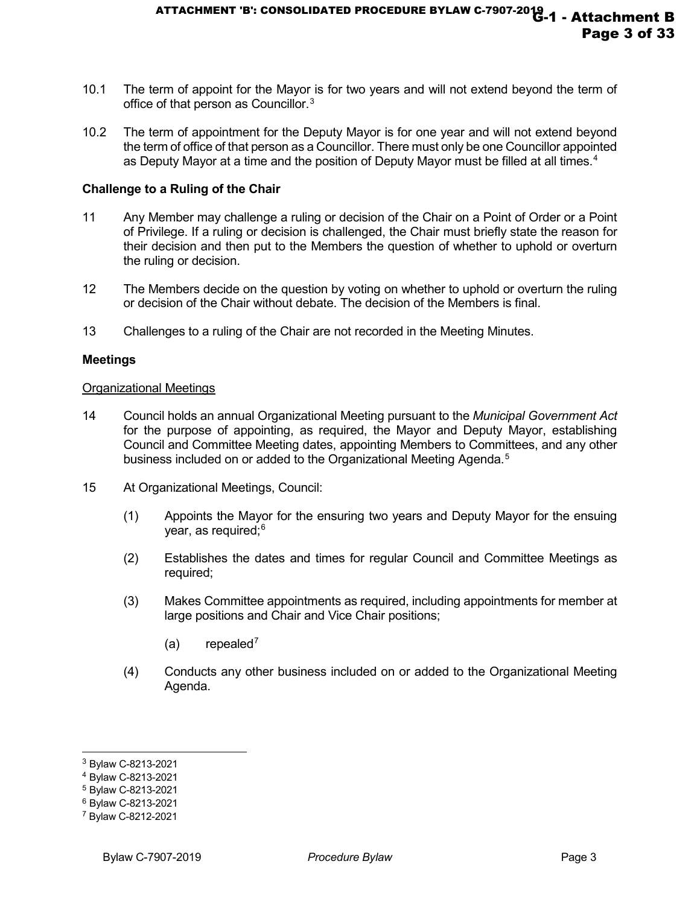- 10.1 The term of appoint for the Mayor is for two years and will not extend beyond the term of office of that person as Councillor.<sup>[3](#page-2-0)</sup>
- 10.2 The term of appointment for the Deputy Mayor is for one year and will not extend beyond the term of office of that person as a Councillor. There must only be one Councillor appointed as Deputy Mayor at a time and the position of Deputy Mayor must be filled at all times. $4$

#### **Challenge to a Ruling of the Chair**

- 11 Any Member may challenge a ruling or decision of the Chair on a Point of Order or a Point of Privilege. If a ruling or decision is challenged, the Chair must briefly state the reason for their decision and then put to the Members the question of whether to uphold or overturn the ruling or decision.
- 12 The Members decide on the question by voting on whether to uphold or overturn the ruling or decision of the Chair without debate. The decision of the Members is final.
- 13 Challenges to a ruling of the Chair are not recorded in the Meeting Minutes.

#### **Meetings**

#### Organizational Meetings

- 14 Council holds an annual Organizational Meeting pursuant to the *Municipal Government Act* for the purpose of appointing, as required, the Mayor and Deputy Mayor, establishing Council and Committee Meeting dates, appointing Members to Committees, and any other business included on or added to the Organizational Meeting Agenda.<sup>[5](#page-2-2)</sup>
- 15 At Organizational Meetings, Council:
	- (1) Appoints the Mayor for the ensuring two years and Deputy Mayor for the ensuing year, as required;<sup>[6](#page-2-3)</sup>
	- (2) Establishes the dates and times for regular Council and Committee Meetings as required;
	- (3) Makes Committee appointments as required, including appointments for member at large positions and Chair and Vice Chair positions;
		- $(a)$  repealed<sup>[7](#page-2-4)</sup>
	- (4) Conducts any other business included on or added to the Organizational Meeting Agenda.

<span id="page-2-0"></span><sup>3</sup> Bylaw C-8213-2021

<span id="page-2-1"></span><sup>4</sup> Bylaw C-8213-2021

<span id="page-2-2"></span><sup>5</sup> Bylaw C-8213-2021

<span id="page-2-3"></span><sup>6</sup> Bylaw C-8213-2021

<span id="page-2-4"></span><sup>7</sup> Bylaw C-8212-2021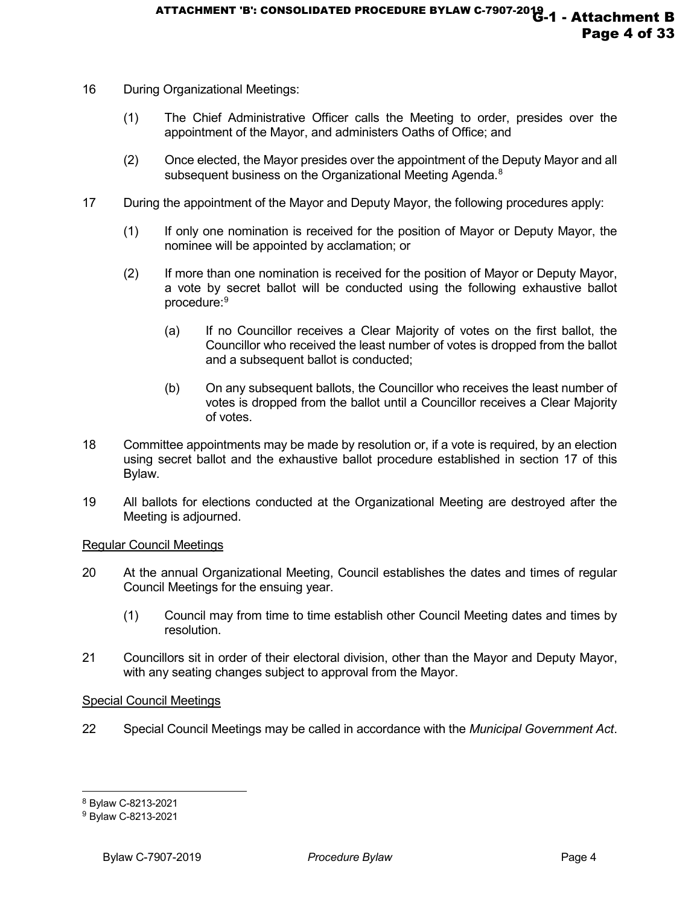- 16 During Organizational Meetings:
	- (1) The Chief Administrative Officer calls the Meeting to order, presides over the appointment of the Mayor, and administers Oaths of Office; and
	- (2) Once elected, the Mayor presides over the appointment of the Deputy Mayor and all subsequent business on the Organizational Meeting Agenda.<sup>[8](#page-3-0)</sup>
- 17 During the appointment of the Mayor and Deputy Mayor, the following procedures apply:
	- (1) If only one nomination is received for the position of Mayor or Deputy Mayor, the nominee will be appointed by acclamation; or
	- (2) If more than one nomination is received for the position of Mayor or Deputy Mayor, a vote by secret ballot will be conducted using the following exhaustive ballot procedure:<sup>[9](#page-3-1)</sup>
		- (a) If no Councillor receives a Clear Majority of votes on the first ballot, the Councillor who received the least number of votes is dropped from the ballot and a subsequent ballot is conducted;
		- (b) On any subsequent ballots, the Councillor who receives the least number of votes is dropped from the ballot until a Councillor receives a Clear Majority of votes.
- 18 Committee appointments may be made by resolution or, if a vote is required, by an election using secret ballot and the exhaustive ballot procedure established in section 17 of this Bylaw.
- 19 All ballots for elections conducted at the Organizational Meeting are destroyed after the Meeting is adjourned.

#### Regular Council Meetings

- 20 At the annual Organizational Meeting, Council establishes the dates and times of regular Council Meetings for the ensuing year.
	- (1) Council may from time to time establish other Council Meeting dates and times by resolution.
- 21 Councillors sit in order of their electoral division, other than the Mayor and Deputy Mayor, with any seating changes subject to approval from the Mayor.

#### Special Council Meetings

22 Special Council Meetings may be called in accordance with the *Municipal Government Act*.

<span id="page-3-0"></span><sup>8</sup> Bylaw C-8213-2021

<span id="page-3-1"></span><sup>9</sup> Bylaw C-8213-2021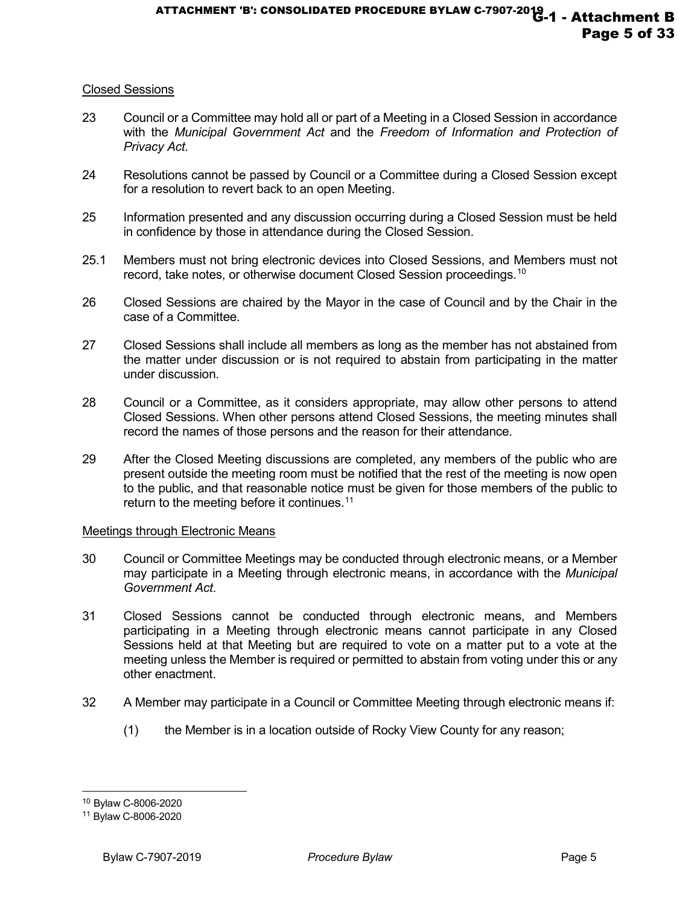# Closed Sessions

- 23 Council or a Committee may hold all or part of a Meeting in a Closed Session in accordance with the *Municipal Government Act* and the *Freedom of Information and Protection of Privacy Act.*
- 24 Resolutions cannot be passed by Council or a Committee during a Closed Session except for a resolution to revert back to an open Meeting.
- 25 Information presented and any discussion occurring during a Closed Session must be held in confidence by those in attendance during the Closed Session.
- 25.1 Members must not bring electronic devices into Closed Sessions, and Members must not record, take notes, or otherwise document Closed Session proceedings.<sup>[10](#page-4-0)</sup>
- 26 Closed Sessions are chaired by the Mayor in the case of Council and by the Chair in the case of a Committee.
- 27 Closed Sessions shall include all members as long as the member has not abstained from the matter under discussion or is not required to abstain from participating in the matter under discussion.
- 28 Council or a Committee, as it considers appropriate, may allow other persons to attend Closed Sessions. When other persons attend Closed Sessions, the meeting minutes shall record the names of those persons and the reason for their attendance.
- 29 After the Closed Meeting discussions are completed, any members of the public who are present outside the meeting room must be notified that the rest of the meeting is now open to the public, and that reasonable notice must be given for those members of the public to return to the meeting before it continues. [11](#page-4-1)

#### Meetings through Electronic Means

- 30 Council or Committee Meetings may be conducted through electronic means, or a Member may participate in a Meeting through electronic means, in accordance with the *Municipal Government Act*.
- 31 Closed Sessions cannot be conducted through electronic means, and Members participating in a Meeting through electronic means cannot participate in any Closed Sessions held at that Meeting but are required to vote on a matter put to a vote at the meeting unless the Member is required or permitted to abstain from voting under this or any other enactment.
- 32 A Member may participate in a Council or Committee Meeting through electronic means if:
	- (1) the Member is in a location outside of Rocky View County for any reason;

<span id="page-4-0"></span><sup>10</sup> Bylaw C-8006-2020

<span id="page-4-1"></span><sup>11</sup> Bylaw C-8006-2020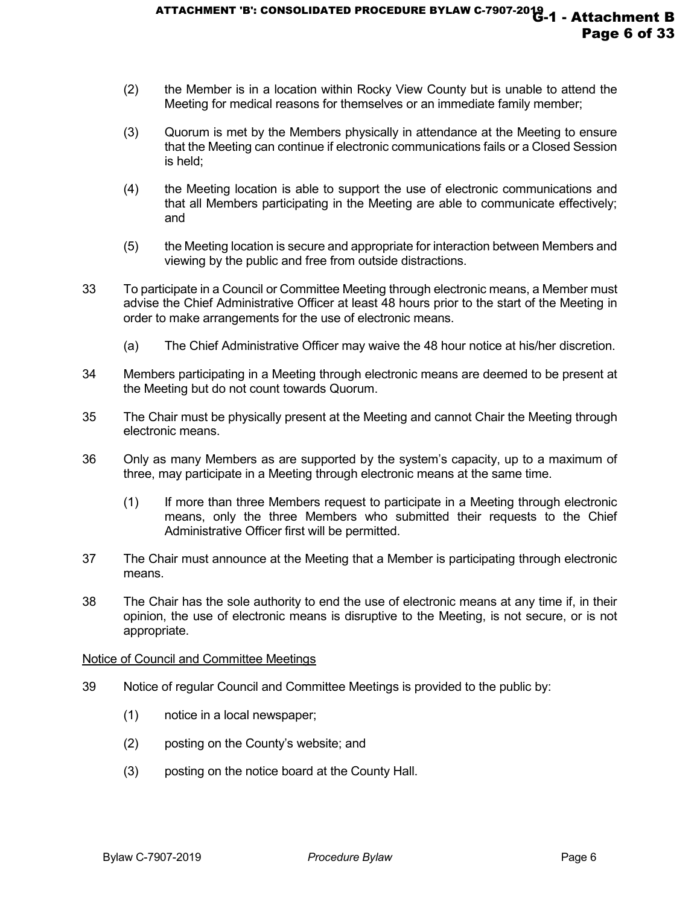- (2) the Member is in a location within Rocky View County but is unable to attend the Meeting for medical reasons for themselves or an immediate family member;
- (3) Quorum is met by the Members physically in attendance at the Meeting to ensure that the Meeting can continue if electronic communications fails or a Closed Session is held;
- (4) the Meeting location is able to support the use of electronic communications and that all Members participating in the Meeting are able to communicate effectively; and
- (5) the Meeting location is secure and appropriate for interaction between Members and viewing by the public and free from outside distractions.
- 33 To participate in a Council or Committee Meeting through electronic means, a Member must advise the Chief Administrative Officer at least 48 hours prior to the start of the Meeting in order to make arrangements for the use of electronic means.
	- (a) The Chief Administrative Officer may waive the 48 hour notice at his/her discretion.
- 34 Members participating in a Meeting through electronic means are deemed to be present at the Meeting but do not count towards Quorum.
- 35 The Chair must be physically present at the Meeting and cannot Chair the Meeting through electronic means.
- 36 Only as many Members as are supported by the system's capacity, up to a maximum of three, may participate in a Meeting through electronic means at the same time.
	- (1) If more than three Members request to participate in a Meeting through electronic means, only the three Members who submitted their requests to the Chief Administrative Officer first will be permitted.
- 37 The Chair must announce at the Meeting that a Member is participating through electronic means.
- 38 The Chair has the sole authority to end the use of electronic means at any time if, in their opinion, the use of electronic means is disruptive to the Meeting, is not secure, or is not appropriate.

#### Notice of Council and Committee Meetings

- 39 Notice of regular Council and Committee Meetings is provided to the public by:
	- (1) notice in a local newspaper;
	- (2) posting on the County's website; and
	- (3) posting on the notice board at the County Hall.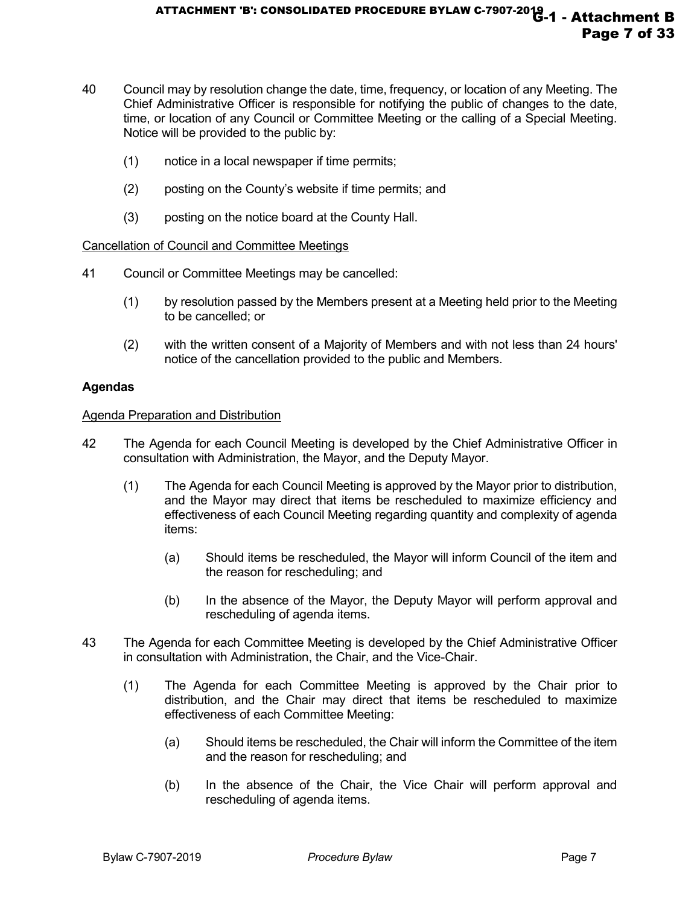- 40 Council may by resolution change the date, time, frequency, or location of any Meeting. The Chief Administrative Officer is responsible for notifying the public of changes to the date, time, or location of any Council or Committee Meeting or the calling of a Special Meeting. Notice will be provided to the public by:
	- (1) notice in a local newspaper if time permits;
	- (2) posting on the County's website if time permits; and
	- (3) posting on the notice board at the County Hall.

#### Cancellation of Council and Committee Meetings

- 41 Council or Committee Meetings may be cancelled:
	- (1) by resolution passed by the Members present at a Meeting held prior to the Meeting to be cancelled; or
	- (2) with the written consent of a Majority of Members and with not less than 24 hours' notice of the cancellation provided to the public and Members.

#### **Agendas**

#### Agenda Preparation and Distribution

- 42 The Agenda for each Council Meeting is developed by the Chief Administrative Officer in consultation with Administration, the Mayor, and the Deputy Mayor.
	- (1) The Agenda for each Council Meeting is approved by the Mayor prior to distribution, and the Mayor may direct that items be rescheduled to maximize efficiency and effectiveness of each Council Meeting regarding quantity and complexity of agenda items:
		- (a) Should items be rescheduled, the Mayor will inform Council of the item and the reason for rescheduling; and
		- (b) In the absence of the Mayor, the Deputy Mayor will perform approval and rescheduling of agenda items.
- 43 The Agenda for each Committee Meeting is developed by the Chief Administrative Officer in consultation with Administration, the Chair, and the Vice-Chair.
	- (1) The Agenda for each Committee Meeting is approved by the Chair prior to distribution, and the Chair may direct that items be rescheduled to maximize effectiveness of each Committee Meeting:
		- (a) Should items be rescheduled, the Chair will inform the Committee of the item and the reason for rescheduling; and
		- (b) In the absence of the Chair, the Vice Chair will perform approval and rescheduling of agenda items.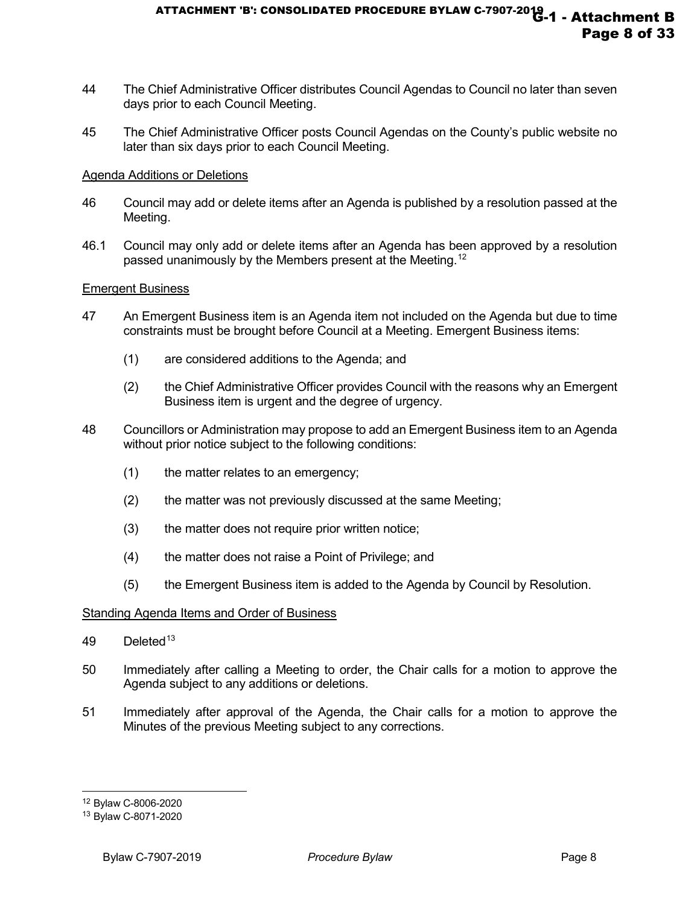- 44 The Chief Administrative Officer distributes Council Agendas to Council no later than seven days prior to each Council Meeting.
- 45 The Chief Administrative Officer posts Council Agendas on the County's public website no later than six days prior to each Council Meeting.

#### Agenda Additions or Deletions

- 46 Council may add or delete items after an Agenda is published by a resolution passed at the Meeting.
- 46.1 Council may only add or delete items after an Agenda has been approved by a resolution passed unanimously by the Members present at the Meeting.<sup>[12](#page-7-0)</sup>

#### Emergent Business

- 47 An Emergent Business item is an Agenda item not included on the Agenda but due to time constraints must be brought before Council at a Meeting. Emergent Business items:
	- (1) are considered additions to the Agenda; and
	- (2) the Chief Administrative Officer provides Council with the reasons why an Emergent Business item is urgent and the degree of urgency.
- 48 Councillors or Administration may propose to add an Emergent Business item to an Agenda without prior notice subject to the following conditions:
	- (1) the matter relates to an emergency;
	- (2) the matter was not previously discussed at the same Meeting;
	- (3) the matter does not require prior written notice;
	- (4) the matter does not raise a Point of Privilege; and
	- (5) the Emergent Business item is added to the Agenda by Council by Resolution.

#### Standing Agenda Items and Order of Business

- 49 Deleted<sup>[13](#page-7-1)</sup>
- 50 Immediately after calling a Meeting to order, the Chair calls for a motion to approve the Agenda subject to any additions or deletions.
- 51 Immediately after approval of the Agenda, the Chair calls for a motion to approve the Minutes of the previous Meeting subject to any corrections.

<span id="page-7-0"></span><sup>12</sup> Bylaw C-8006-2020

<span id="page-7-1"></span><sup>13</sup> Bylaw C-8071-2020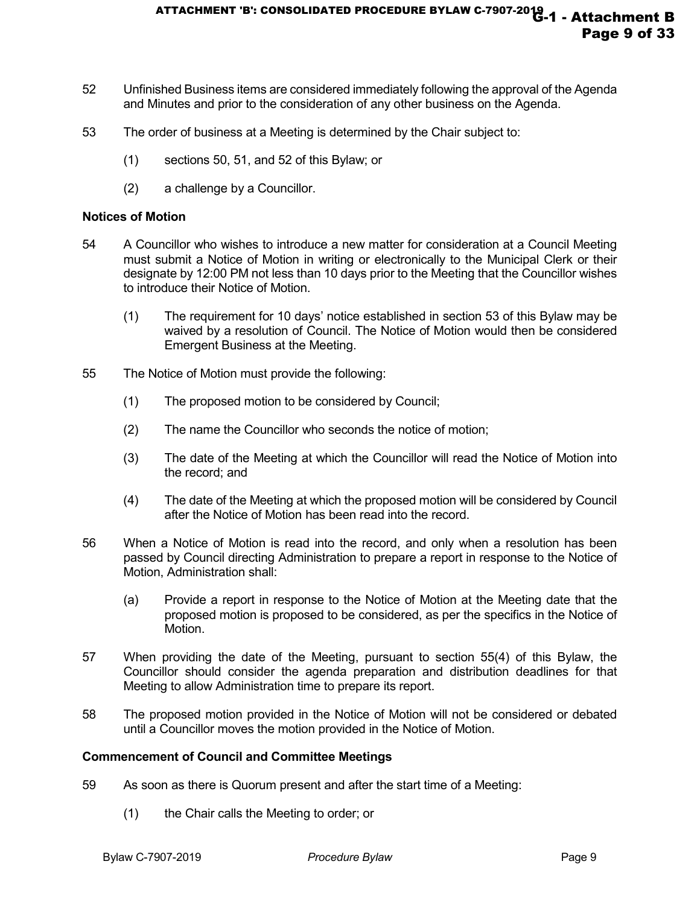- 52 Unfinished Business items are considered immediately following the approval of the Agenda and Minutes and prior to the consideration of any other business on the Agenda.
- 53 The order of business at a Meeting is determined by the Chair subject to:
	- (1) sections 50, 51, and 52 of this Bylaw; or
	- (2) a challenge by a Councillor.

#### **Notices of Motion**

- 54 A Councillor who wishes to introduce a new matter for consideration at a Council Meeting must submit a Notice of Motion in writing or electronically to the Municipal Clerk or their designate by 12:00 PM not less than 10 days prior to the Meeting that the Councillor wishes to introduce their Notice of Motion.
	- (1) The requirement for 10 days' notice established in section 53 of this Bylaw may be waived by a resolution of Council. The Notice of Motion would then be considered Emergent Business at the Meeting.
- 55 The Notice of Motion must provide the following:
	- (1) The proposed motion to be considered by Council;
	- (2) The name the Councillor who seconds the notice of motion;
	- (3) The date of the Meeting at which the Councillor will read the Notice of Motion into the record; and
	- (4) The date of the Meeting at which the proposed motion will be considered by Council after the Notice of Motion has been read into the record.
- 56 When a Notice of Motion is read into the record, and only when a resolution has been passed by Council directing Administration to prepare a report in response to the Notice of Motion, Administration shall:
	- (a) Provide a report in response to the Notice of Motion at the Meeting date that the proposed motion is proposed to be considered, as per the specifics in the Notice of Motion.
- 57 When providing the date of the Meeting, pursuant to section 55(4) of this Bylaw, the Councillor should consider the agenda preparation and distribution deadlines for that Meeting to allow Administration time to prepare its report.
- 58 The proposed motion provided in the Notice of Motion will not be considered or debated until a Councillor moves the motion provided in the Notice of Motion.

#### **Commencement of Council and Committee Meetings**

- 59 As soon as there is Quorum present and after the start time of a Meeting:
	- (1) the Chair calls the Meeting to order; or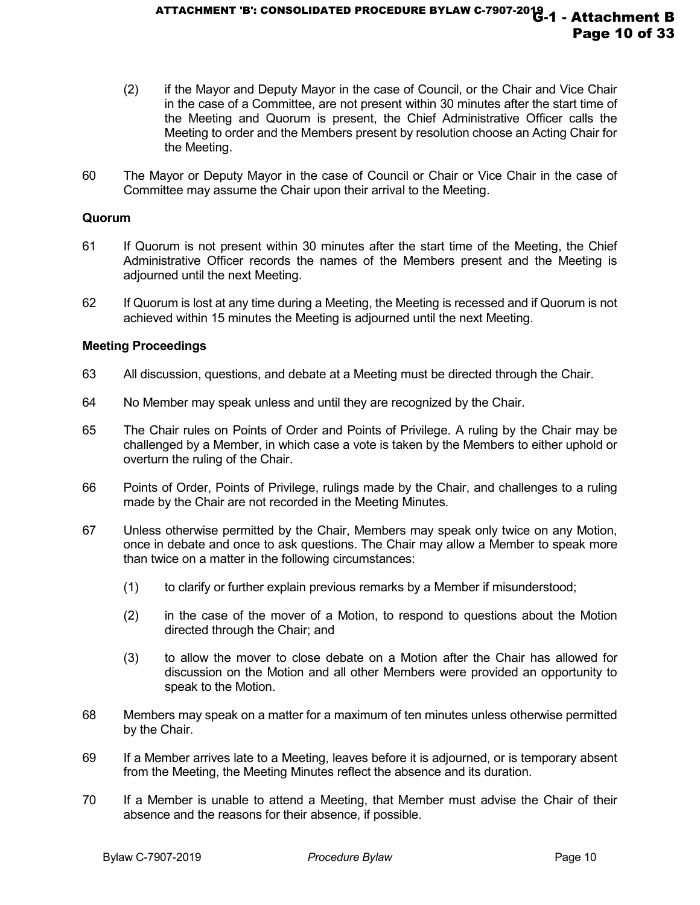- (2) if the Mayor and Deputy Mayor in the case of Council, or the Chair and Vice Chair in the case of a Committee, are not present within 30 minutes after the start time of the Meeting and Quorum is present, the Chief Administrative Officer calls the Meeting to order and the Members present by resolution choose an Acting Chair for the Meeting.
- 60 The Mayor or Deputy Mayor in the case of Council or Chair or Vice Chair in the case of Committee may assume the Chair upon their arrival to the Meeting.

#### **Quorum**

- 61 If Quorum is not present within 30 minutes after the start time of the Meeting, the Chief Administrative Officer records the names of the Members present and the Meeting is adjourned until the next Meeting.
- 62 If Quorum is lost at any time during a Meeting, the Meeting is recessed and if Quorum is not achieved within 15 minutes the Meeting is adjourned until the next Meeting.

#### **Meeting Proceedings**

- 63 All discussion, questions, and debate at a Meeting must be directed through the Chair.
- 64 No Member may speak unless and until they are recognized by the Chair.
- 65 The Chair rules on Points of Order and Points of Privilege. A ruling by the Chair may be challenged by a Member, in which case a vote is taken by the Members to either uphold or overturn the ruling of the Chair.
- 66 Points of Order, Points of Privilege, rulings made by the Chair, and challenges to a ruling made by the Chair are not recorded in the Meeting Minutes.
- 67 Unless otherwise permitted by the Chair, Members may speak only twice on any Motion, once in debate and once to ask questions. The Chair may allow a Member to speak more than twice on a matter in the following circumstances:
	- (1) to clarify or further explain previous remarks by a Member if misunderstood;
	- (2) in the case of the mover of a Motion, to respond to questions about the Motion directed through the Chair; and
	- (3) to allow the mover to close debate on a Motion after the Chair has allowed for discussion on the Motion and all other Members were provided an opportunity to speak to the Motion.
- 68 Members may speak on a matter for a maximum of ten minutes unless otherwise permitted by the Chair.
- 69 If a Member arrives late to a Meeting, leaves before it is adjourned, or is temporary absent from the Meeting, the Meeting Minutes reflect the absence and its duration.
- 70 If a Member is unable to attend a Meeting, that Member must advise the Chair of their absence and the reasons for their absence, if possible.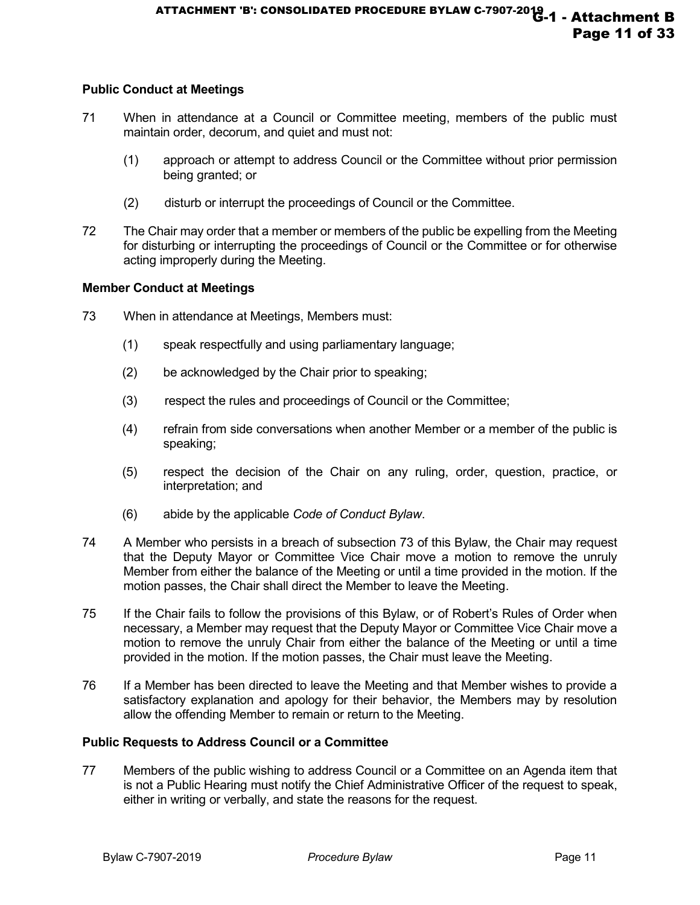# **Public Conduct at Meetings**

- 71 When in attendance at a Council or Committee meeting, members of the public must maintain order, decorum, and quiet and must not:
	- (1) approach or attempt to address Council or the Committee without prior permission being granted; or
	- (2) disturb or interrupt the proceedings of Council or the Committee.
- 72 The Chair may order that a member or members of the public be expelling from the Meeting for disturbing or interrupting the proceedings of Council or the Committee or for otherwise acting improperly during the Meeting.

# **Member Conduct at Meetings**

- 73 When in attendance at Meetings, Members must:
	- (1) speak respectfully and using parliamentary language;
	- (2) be acknowledged by the Chair prior to speaking;
	- (3) respect the rules and proceedings of Council or the Committee;
	- (4) refrain from side conversations when another Member or a member of the public is speaking;
	- (5) respect the decision of the Chair on any ruling, order, question, practice, or interpretation; and
	- (6) abide by the applicable *Code of Conduct Bylaw*.
- 74 A Member who persists in a breach of subsection 73 of this Bylaw, the Chair may request that the Deputy Mayor or Committee Vice Chair move a motion to remove the unruly Member from either the balance of the Meeting or until a time provided in the motion. If the motion passes, the Chair shall direct the Member to leave the Meeting.
- 75 If the Chair fails to follow the provisions of this Bylaw, or of Robert's Rules of Order when necessary, a Member may request that the Deputy Mayor or Committee Vice Chair move a motion to remove the unruly Chair from either the balance of the Meeting or until a time provided in the motion. If the motion passes, the Chair must leave the Meeting.
- 76 If a Member has been directed to leave the Meeting and that Member wishes to provide a satisfactory explanation and apology for their behavior, the Members may by resolution allow the offending Member to remain or return to the Meeting.

# **Public Requests to Address Council or a Committee**

77 Members of the public wishing to address Council or a Committee on an Agenda item that is not a Public Hearing must notify the Chief Administrative Officer of the request to speak, either in writing or verbally, and state the reasons for the request.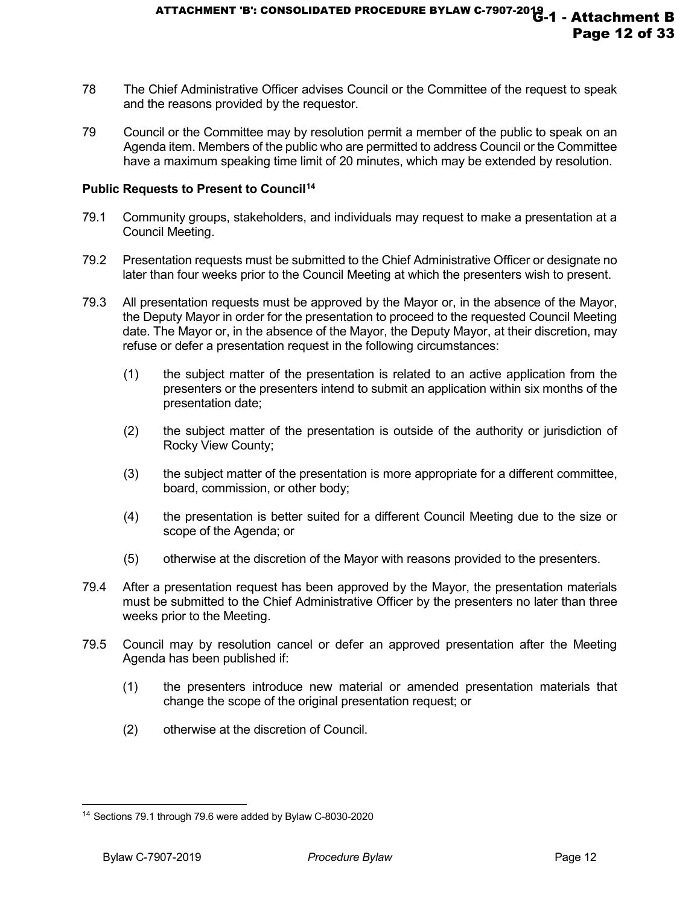- 78 The Chief Administrative Officer advises Council or the Committee of the request to speak and the reasons provided by the requestor.
- 79 Council or the Committee may by resolution permit a member of the public to speak on an Agenda item. Members of the public who are permitted to address Council or the Committee have a maximum speaking time limit of 20 minutes, which may be extended by resolution.

# **Public Requests to Present to Council[14](#page-11-0)**

- 79.1 Community groups, stakeholders, and individuals may request to make a presentation at a Council Meeting.
- 79.2 Presentation requests must be submitted to the Chief Administrative Officer or designate no later than four weeks prior to the Council Meeting at which the presenters wish to present.
- 79.3 All presentation requests must be approved by the Mayor or, in the absence of the Mayor, the Deputy Mayor in order for the presentation to proceed to the requested Council Meeting date. The Mayor or, in the absence of the Mayor, the Deputy Mayor, at their discretion, may refuse or defer a presentation request in the following circumstances:
	- (1) the subject matter of the presentation is related to an active application from the presenters or the presenters intend to submit an application within six months of the presentation date;
	- (2) the subject matter of the presentation is outside of the authority or jurisdiction of Rocky View County;
	- (3) the subject matter of the presentation is more appropriate for a different committee, board, commission, or other body;
	- (4) the presentation is better suited for a different Council Meeting due to the size or scope of the Agenda; or
	- (5) otherwise at the discretion of the Mayor with reasons provided to the presenters.
- 79.4 After a presentation request has been approved by the Mayor, the presentation materials must be submitted to the Chief Administrative Officer by the presenters no later than three weeks prior to the Meeting.
- 79.5 Council may by resolution cancel or defer an approved presentation after the Meeting Agenda has been published if:
	- (1) the presenters introduce new material or amended presentation materials that change the scope of the original presentation request; or
	- (2) otherwise at the discretion of Council.

<span id="page-11-0"></span>j <sup>14</sup> Sections 79.1 through 79.6 were added by Bylaw C-8030-2020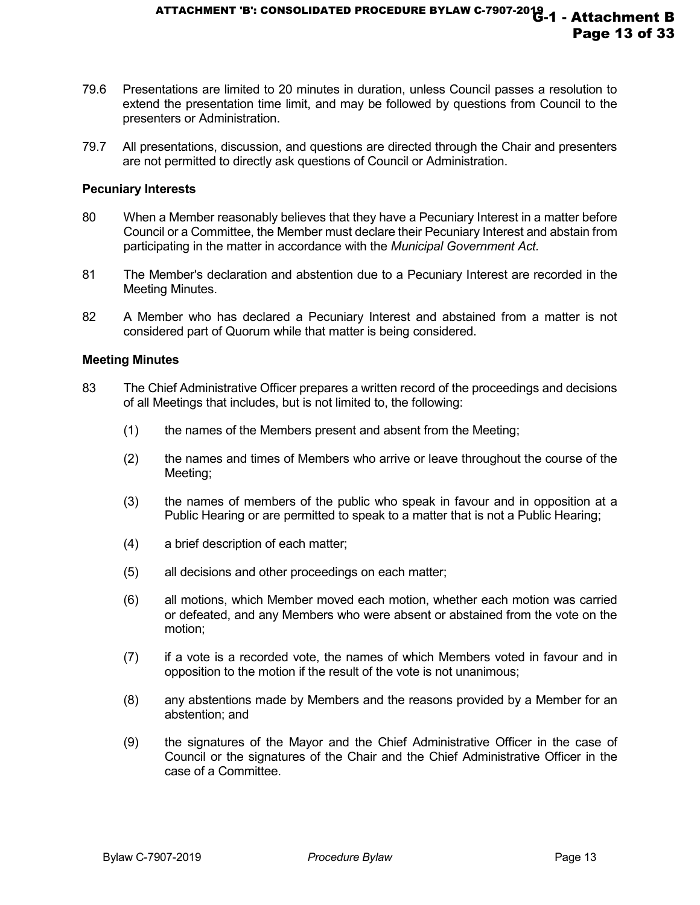- 79.6 Presentations are limited to 20 minutes in duration, unless Council passes a resolution to extend the presentation time limit, and may be followed by questions from Council to the presenters or Administration.
- 79.7 All presentations, discussion, and questions are directed through the Chair and presenters are not permitted to directly ask questions of Council or Administration.

#### **Pecuniary Interests**

- 80 When a Member reasonably believes that they have a Pecuniary Interest in a matter before Council or a Committee, the Member must declare their Pecuniary Interest and abstain from participating in the matter in accordance with the *Municipal Government Act.*
- 81 The Member's declaration and abstention due to a Pecuniary Interest are recorded in the Meeting Minutes.
- 82 A Member who has declared a Pecuniary Interest and abstained from a matter is not considered part of Quorum while that matter is being considered.

#### **Meeting Minutes**

- 83 The Chief Administrative Officer prepares a written record of the proceedings and decisions of all Meetings that includes, but is not limited to, the following:
	- (1) the names of the Members present and absent from the Meeting;
	- (2) the names and times of Members who arrive or leave throughout the course of the Meeting;
	- (3) the names of members of the public who speak in favour and in opposition at a Public Hearing or are permitted to speak to a matter that is not a Public Hearing;
	- (4) a brief description of each matter;
	- (5) all decisions and other proceedings on each matter;
	- (6) all motions, which Member moved each motion, whether each motion was carried or defeated, and any Members who were absent or abstained from the vote on the motion;
	- (7) if a vote is a recorded vote, the names of which Members voted in favour and in opposition to the motion if the result of the vote is not unanimous;
	- (8) any abstentions made by Members and the reasons provided by a Member for an abstention; and
	- (9) the signatures of the Mayor and the Chief Administrative Officer in the case of Council or the signatures of the Chair and the Chief Administrative Officer in the case of a Committee.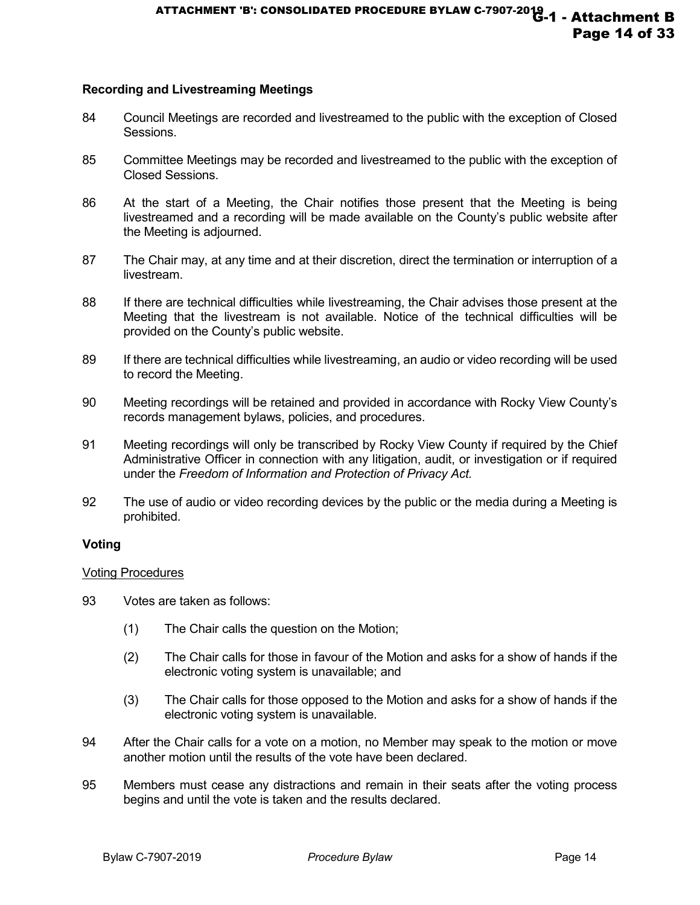#### **Recording and Livestreaming Meetings**

- 84 Council Meetings are recorded and livestreamed to the public with the exception of Closed Sessions.
- 85 Committee Meetings may be recorded and livestreamed to the public with the exception of Closed Sessions.
- 86 At the start of a Meeting, the Chair notifies those present that the Meeting is being livestreamed and a recording will be made available on the County's public website after the Meeting is adjourned.
- 87 The Chair may, at any time and at their discretion, direct the termination or interruption of a livestream.
- 88 If there are technical difficulties while livestreaming, the Chair advises those present at the Meeting that the livestream is not available. Notice of the technical difficulties will be provided on the County's public website.
- 89 If there are technical difficulties while livestreaming, an audio or video recording will be used to record the Meeting.
- 90 Meeting recordings will be retained and provided in accordance with Rocky View County's records management bylaws, policies, and procedures.
- 91 Meeting recordings will only be transcribed by Rocky View County if required by the Chief Administrative Officer in connection with any litigation, audit, or investigation or if required under the *Freedom of Information and Protection of Privacy Act.*
- 92 The use of audio or video recording devices by the public or the media during a Meeting is prohibited.

#### **Voting**

#### Voting Procedures

- 93 Votes are taken as follows:
	- (1) The Chair calls the question on the Motion;
	- (2) The Chair calls for those in favour of the Motion and asks for a show of hands if the electronic voting system is unavailable; and
	- (3) The Chair calls for those opposed to the Motion and asks for a show of hands if the electronic voting system is unavailable.
- 94 After the Chair calls for a vote on a motion, no Member may speak to the motion or move another motion until the results of the vote have been declared.
- 95 Members must cease any distractions and remain in their seats after the voting process begins and until the vote is taken and the results declared.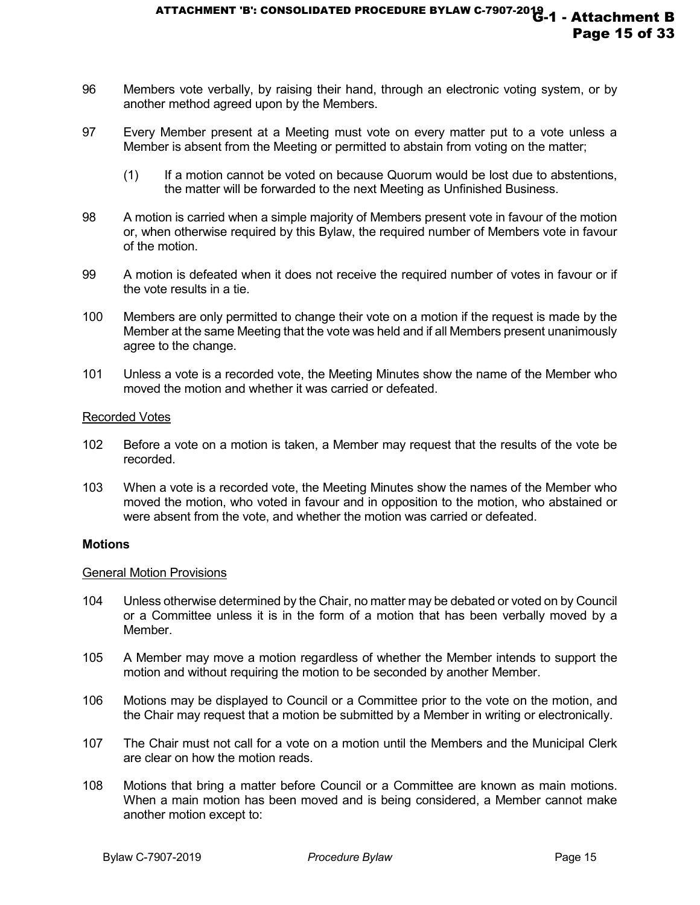- 96 Members vote verbally, by raising their hand, through an electronic voting system, or by another method agreed upon by the Members.
- 97 Every Member present at a Meeting must vote on every matter put to a vote unless a Member is absent from the Meeting or permitted to abstain from voting on the matter;
	- (1) If a motion cannot be voted on because Quorum would be lost due to abstentions, the matter will be forwarded to the next Meeting as Unfinished Business.
- 98 A motion is carried when a simple majority of Members present vote in favour of the motion or, when otherwise required by this Bylaw, the required number of Members vote in favour of the motion.
- 99 A motion is defeated when it does not receive the required number of votes in favour or if the vote results in a tie.
- 100 Members are only permitted to change their vote on a motion if the request is made by the Member at the same Meeting that the vote was held and if all Members present unanimously agree to the change.
- 101 Unless a vote is a recorded vote, the Meeting Minutes show the name of the Member who moved the motion and whether it was carried or defeated.

#### Recorded Votes

- 102 Before a vote on a motion is taken, a Member may request that the results of the vote be recorded.
- 103 When a vote is a recorded vote, the Meeting Minutes show the names of the Member who moved the motion, who voted in favour and in opposition to the motion, who abstained or were absent from the vote, and whether the motion was carried or defeated.

#### **Motions**

#### General Motion Provisions

- 104 Unless otherwise determined by the Chair, no matter may be debated or voted on by Council or a Committee unless it is in the form of a motion that has been verbally moved by a Member.
- 105 A Member may move a motion regardless of whether the Member intends to support the motion and without requiring the motion to be seconded by another Member.
- 106 Motions may be displayed to Council or a Committee prior to the vote on the motion, and the Chair may request that a motion be submitted by a Member in writing or electronically.
- 107 The Chair must not call for a vote on a motion until the Members and the Municipal Clerk are clear on how the motion reads.
- 108 Motions that bring a matter before Council or a Committee are known as main motions. When a main motion has been moved and is being considered, a Member cannot make another motion except to: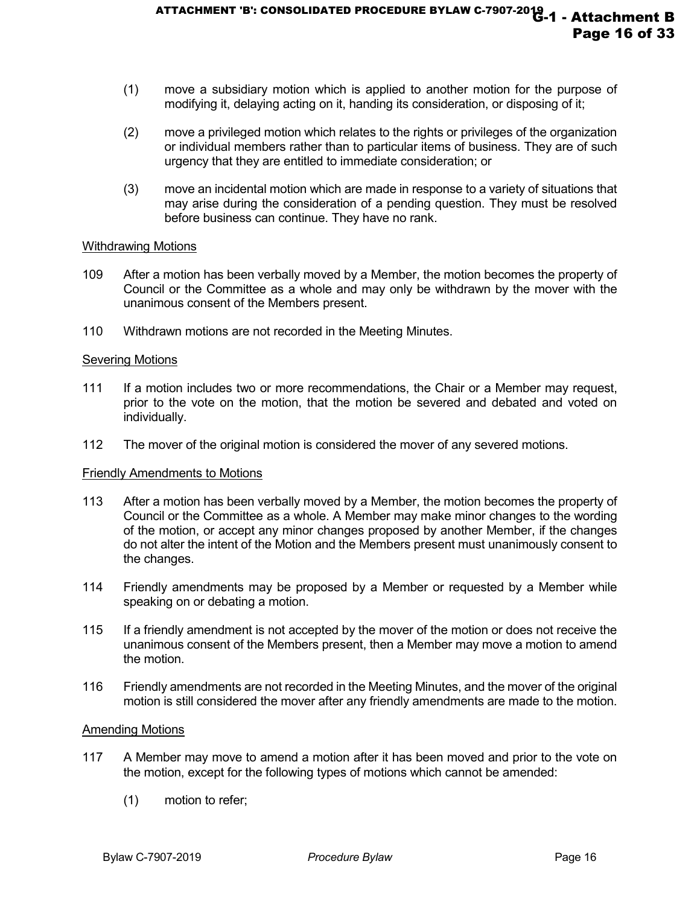- (1) move a subsidiary motion which is applied to another motion for the purpose of modifying it, delaying acting on it, handing its consideration, or disposing of it;
- (2) move a privileged motion which relates to the rights or privileges of the organization or individual members rather than to particular items of business. They are of such urgency that they are entitled to immediate consideration; or
- (3) move an incidental motion which are made in response to a variety of situations that may arise during the consideration of a pending question. They must be resolved before business can continue. They have no rank.

#### Withdrawing Motions

- 109 After a motion has been verbally moved by a Member, the motion becomes the property of Council or the Committee as a whole and may only be withdrawn by the mover with the unanimous consent of the Members present.
- 110 Withdrawn motions are not recorded in the Meeting Minutes.

# Severing Motions

- 111 If a motion includes two or more recommendations, the Chair or a Member may request, prior to the vote on the motion, that the motion be severed and debated and voted on individually.
- 112 The mover of the original motion is considered the mover of any severed motions.

#### Friendly Amendments to Motions

- 113 After a motion has been verbally moved by a Member, the motion becomes the property of Council or the Committee as a whole. A Member may make minor changes to the wording of the motion, or accept any minor changes proposed by another Member, if the changes do not alter the intent of the Motion and the Members present must unanimously consent to the changes.
- 114 Friendly amendments may be proposed by a Member or requested by a Member while speaking on or debating a motion.
- 115 If a friendly amendment is not accepted by the mover of the motion or does not receive the unanimous consent of the Members present, then a Member may move a motion to amend the motion.
- 116 Friendly amendments are not recorded in the Meeting Minutes, and the mover of the original motion is still considered the mover after any friendly amendments are made to the motion.

#### Amending Motions

- 117 A Member may move to amend a motion after it has been moved and prior to the vote on the motion, except for the following types of motions which cannot be amended:
	- (1) motion to refer;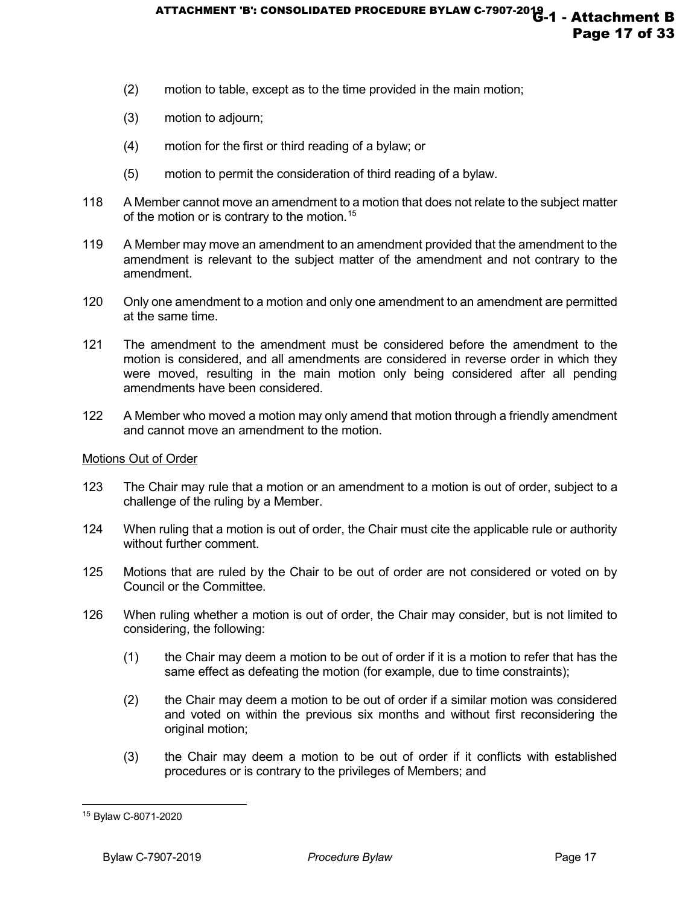- (2) motion to table, except as to the time provided in the main motion;
- (3) motion to adjourn;
- (4) motion for the first or third reading of a bylaw; or
- (5) motion to permit the consideration of third reading of a bylaw.
- 118 A Member cannot move an amendment to a motion that does not relate to the subject matter of the motion or is contrary to the motion.<sup>[15](#page-16-0)</sup>
- 119 A Member may move an amendment to an amendment provided that the amendment to the amendment is relevant to the subject matter of the amendment and not contrary to the amendment.
- 120 Only one amendment to a motion and only one amendment to an amendment are permitted at the same time.
- 121 The amendment to the amendment must be considered before the amendment to the motion is considered, and all amendments are considered in reverse order in which they were moved, resulting in the main motion only being considered after all pending amendments have been considered.
- 122 A Member who moved a motion may only amend that motion through a friendly amendment and cannot move an amendment to the motion.

# Motions Out of Order

- 123 The Chair may rule that a motion or an amendment to a motion is out of order, subject to a challenge of the ruling by a Member.
- 124 When ruling that a motion is out of order, the Chair must cite the applicable rule or authority without further comment.
- 125 Motions that are ruled by the Chair to be out of order are not considered or voted on by Council or the Committee.
- 126 When ruling whether a motion is out of order, the Chair may consider, but is not limited to considering, the following:
	- (1) the Chair may deem a motion to be out of order if it is a motion to refer that has the same effect as defeating the motion (for example, due to time constraints);
	- (2) the Chair may deem a motion to be out of order if a similar motion was considered and voted on within the previous six months and without first reconsidering the original motion;
	- (3) the Chair may deem a motion to be out of order if it conflicts with established procedures or is contrary to the privileges of Members; and

j

<span id="page-16-0"></span><sup>15</sup> Bylaw C-8071-2020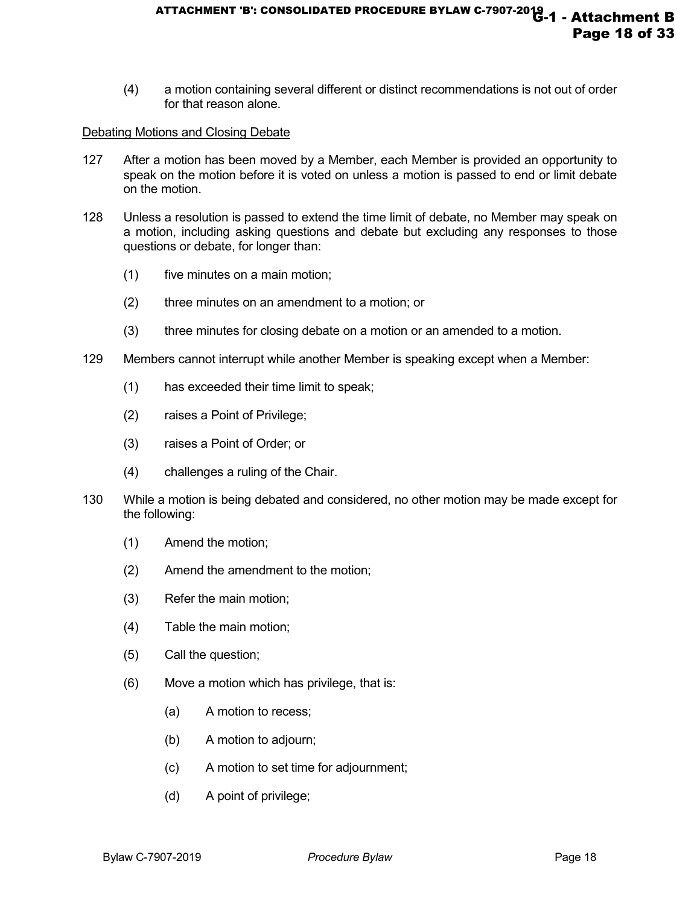(4) a motion containing several different or distinct recommendations is not out of order for that reason alone.

#### Debating Motions and Closing Debate

- 127 After a motion has been moved by a Member, each Member is provided an opportunity to speak on the motion before it is voted on unless a motion is passed to end or limit debate on the motion.
- 128 Unless a resolution is passed to extend the time limit of debate, no Member may speak on a motion, including asking questions and debate but excluding any responses to those questions or debate, for longer than:
	- (1) five minutes on a main motion;
	- (2) three minutes on an amendment to a motion; or
	- (3) three minutes for closing debate on a motion or an amended to a motion.
- 129 Members cannot interrupt while another Member is speaking except when a Member:
	- (1) has exceeded their time limit to speak;
	- (2) raises a Point of Privilege;
	- (3) raises a Point of Order; or
	- (4) challenges a ruling of the Chair.
- 130 While a motion is being debated and considered, no other motion may be made except for the following:
	- (1) Amend the motion;
	- (2) Amend the amendment to the motion;
	- (3) Refer the main motion;
	- (4) Table the main motion;
	- (5) Call the question;
	- (6) Move a motion which has privilege, that is:
		- (a) A motion to recess;
		- (b) A motion to adjourn;
		- (c) A motion to set time for adjournment;
		- (d) A point of privilege;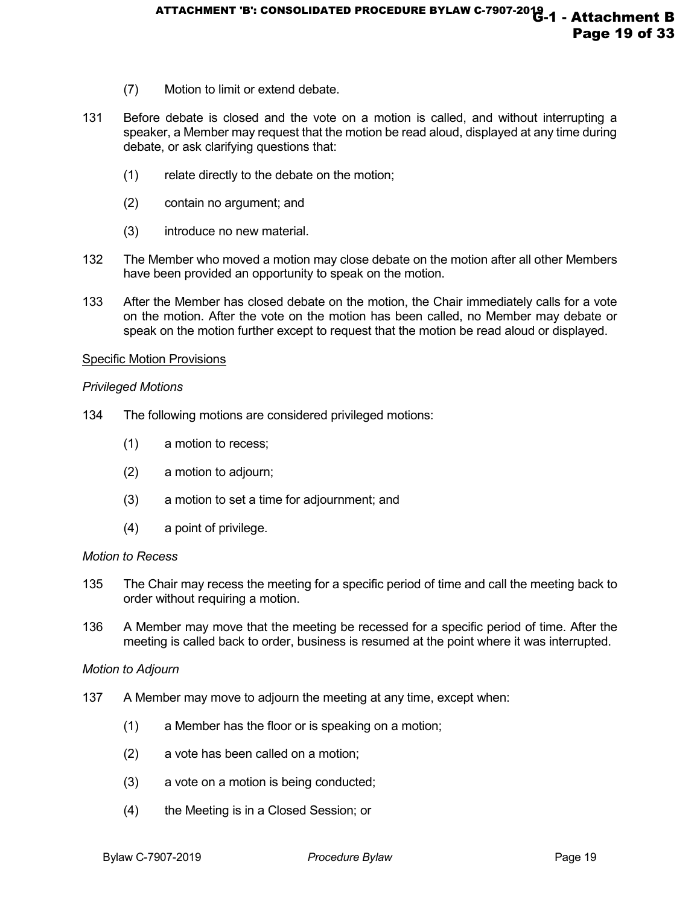- (7) Motion to limit or extend debate.
- 131 Before debate is closed and the vote on a motion is called, and without interrupting a speaker, a Member may request that the motion be read aloud, displayed at any time during debate, or ask clarifying questions that:
	- (1) relate directly to the debate on the motion;
	- (2) contain no argument; and
	- (3) introduce no new material.
- 132 The Member who moved a motion may close debate on the motion after all other Members have been provided an opportunity to speak on the motion.
- 133 After the Member has closed debate on the motion, the Chair immediately calls for a vote on the motion. After the vote on the motion has been called, no Member may debate or speak on the motion further except to request that the motion be read aloud or displayed.

# Specific Motion Provisions

#### *Privileged Motions*

- 134 The following motions are considered privileged motions:
	- (1) a motion to recess;
	- (2) a motion to adjourn;
	- (3) a motion to set a time for adjournment; and
	- (4) a point of privilege.

# *Motion to Recess*

- 135 The Chair may recess the meeting for a specific period of time and call the meeting back to order without requiring a motion.
- 136 A Member may move that the meeting be recessed for a specific period of time. After the meeting is called back to order, business is resumed at the point where it was interrupted.

#### *Motion to Adjourn*

- 137 A Member may move to adjourn the meeting at any time, except when:
	- (1) a Member has the floor or is speaking on a motion;
	- (2) a vote has been called on a motion;
	- (3) a vote on a motion is being conducted;
	- (4) the Meeting is in a Closed Session; or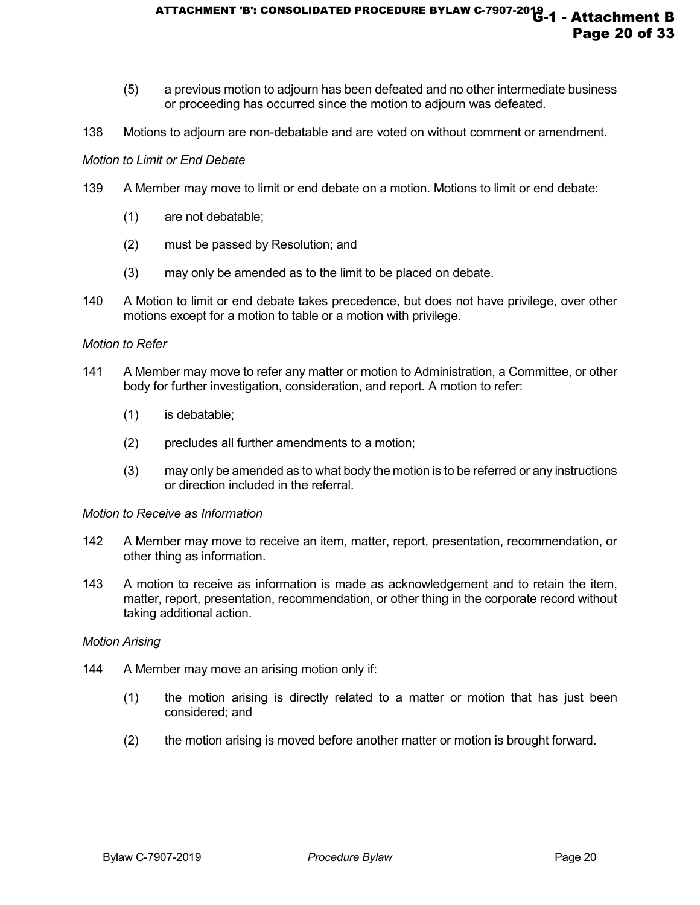- (5) a previous motion to adjourn has been defeated and no other intermediate business or proceeding has occurred since the motion to adjourn was defeated.
- 138 Motions to adjourn are non-debatable and are voted on without comment or amendment.

#### *Motion to Limit or End Debate*

- 139 A Member may move to limit or end debate on a motion. Motions to limit or end debate:
	- (1) are not debatable;
	- (2) must be passed by Resolution; and
	- (3) may only be amended as to the limit to be placed on debate.
- 140 A Motion to limit or end debate takes precedence, but does not have privilege, over other motions except for a motion to table or a motion with privilege.

#### *Motion to Refer*

- 141 A Member may move to refer any matter or motion to Administration, a Committee, or other body for further investigation, consideration, and report. A motion to refer:
	- (1) is debatable;
	- (2) precludes all further amendments to a motion;
	- (3) may only be amended as to what body the motion is to be referred or any instructions or direction included in the referral.

#### *Motion to Receive as Information*

- 142 A Member may move to receive an item, matter, report, presentation, recommendation, or other thing as information.
- 143 A motion to receive as information is made as acknowledgement and to retain the item, matter, report, presentation, recommendation, or other thing in the corporate record without taking additional action.

#### *Motion Arising*

- 144 A Member may move an arising motion only if:
	- (1) the motion arising is directly related to a matter or motion that has just been considered; and
	- (2) the motion arising is moved before another matter or motion is brought forward.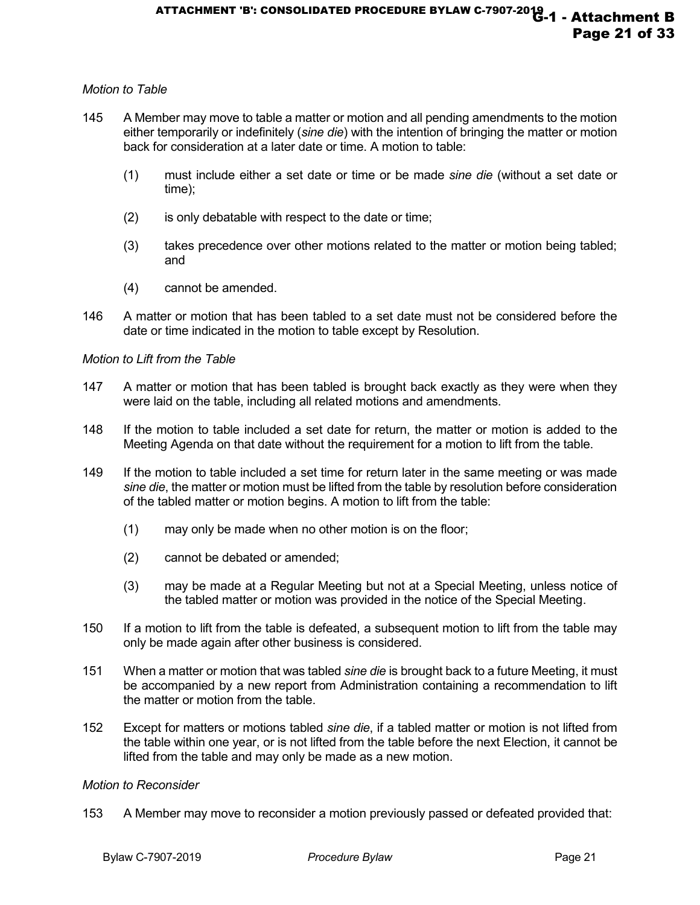# *Motion to Table*

- 145 A Member may move to table a matter or motion and all pending amendments to the motion either temporarily or indefinitely (*sine die*) with the intention of bringing the matter or motion back for consideration at a later date or time. A motion to table:
	- (1) must include either a set date or time or be made *sine die* (without a set date or time);
	- (2) is only debatable with respect to the date or time;
	- (3) takes precedence over other motions related to the matter or motion being tabled; and
	- (4) cannot be amended.
- 146 A matter or motion that has been tabled to a set date must not be considered before the date or time indicated in the motion to table except by Resolution.

#### *Motion to Lift from the Table*

- 147 A matter or motion that has been tabled is brought back exactly as they were when they were laid on the table, including all related motions and amendments.
- 148 If the motion to table included a set date for return, the matter or motion is added to the Meeting Agenda on that date without the requirement for a motion to lift from the table.
- 149 If the motion to table included a set time for return later in the same meeting or was made *sine die*, the matter or motion must be lifted from the table by resolution before consideration of the tabled matter or motion begins. A motion to lift from the table:
	- (1) may only be made when no other motion is on the floor;
	- (2) cannot be debated or amended;
	- (3) may be made at a Regular Meeting but not at a Special Meeting, unless notice of the tabled matter or motion was provided in the notice of the Special Meeting.
- 150 If a motion to lift from the table is defeated, a subsequent motion to lift from the table may only be made again after other business is considered.
- 151 When a matter or motion that was tabled *sine die* is brought back to a future Meeting, it must be accompanied by a new report from Administration containing a recommendation to lift the matter or motion from the table.
- 152 Except for matters or motions tabled *sine die*, if a tabled matter or motion is not lifted from the table within one year, or is not lifted from the table before the next Election, it cannot be lifted from the table and may only be made as a new motion.

#### *Motion to Reconsider*

153 A Member may move to reconsider a motion previously passed or defeated provided that: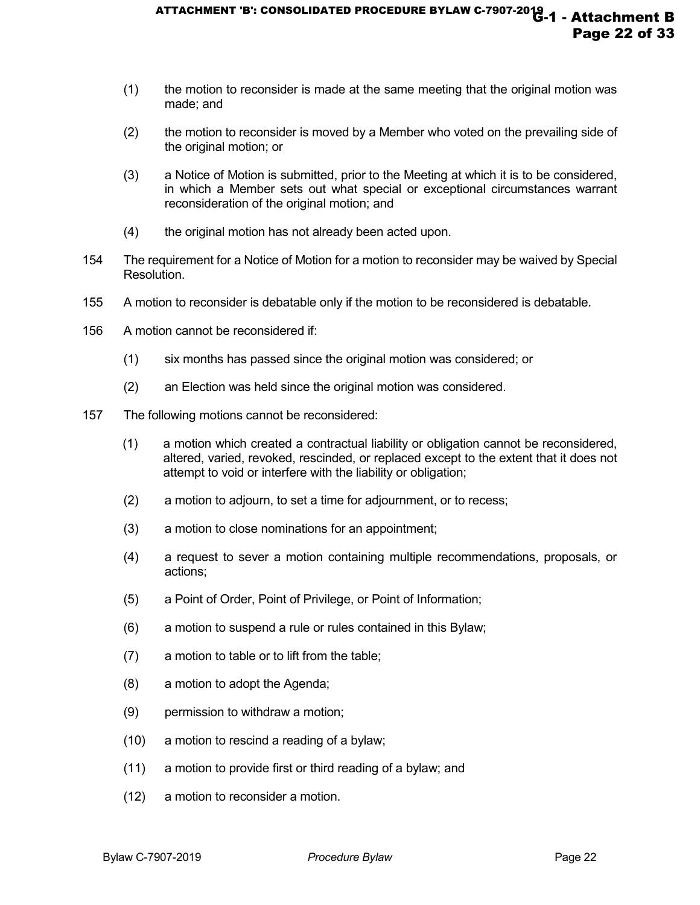- (1) the motion to reconsider is made at the same meeting that the original motion was made; and
- (2) the motion to reconsider is moved by a Member who voted on the prevailing side of the original motion; or
- (3) a Notice of Motion is submitted, prior to the Meeting at which it is to be considered, in which a Member sets out what special or exceptional circumstances warrant reconsideration of the original motion; and
- (4) the original motion has not already been acted upon.
- 154 The requirement for a Notice of Motion for a motion to reconsider may be waived by Special Resolution.
- 155 A motion to reconsider is debatable only if the motion to be reconsidered is debatable.
- 156 A motion cannot be reconsidered if:
	- (1) six months has passed since the original motion was considered; or
	- (2) an Election was held since the original motion was considered.
- 157 The following motions cannot be reconsidered:
	- (1) a motion which created a contractual liability or obligation cannot be reconsidered, altered, varied, revoked, rescinded, or replaced except to the extent that it does not attempt to void or interfere with the liability or obligation;
	- (2) a motion to adjourn, to set a time for adjournment, or to recess;
	- (3) a motion to close nominations for an appointment;
	- (4) a request to sever a motion containing multiple recommendations, proposals, or actions;
	- (5) a Point of Order, Point of Privilege, or Point of Information;
	- (6) a motion to suspend a rule or rules contained in this Bylaw;
	- (7) a motion to table or to lift from the table;
	- (8) a motion to adopt the Agenda;
	- (9) permission to withdraw a motion;
	- (10) a motion to rescind a reading of a bylaw;
	- (11) a motion to provide first or third reading of a bylaw; and
	- (12) a motion to reconsider a motion.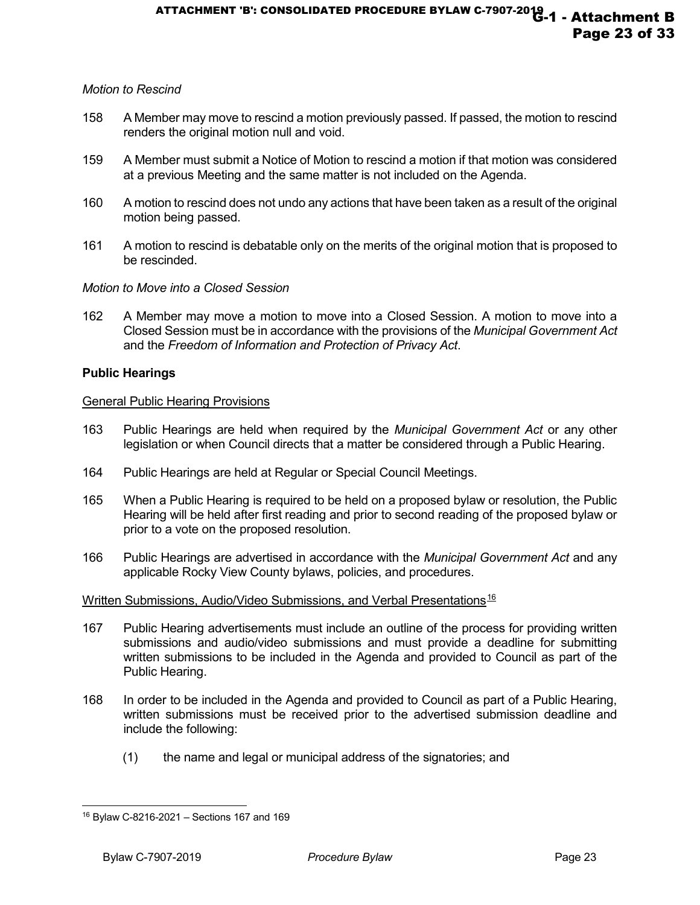# *Motion to Rescind*

- 158 A Member may move to rescind a motion previously passed. If passed, the motion to rescind renders the original motion null and void.
- 159 A Member must submit a Notice of Motion to rescind a motion if that motion was considered at a previous Meeting and the same matter is not included on the Agenda.
- 160 A motion to rescind does not undo any actions that have been taken as a result of the original motion being passed.
- 161 A motion to rescind is debatable only on the merits of the original motion that is proposed to be rescinded.

# *Motion to Move into a Closed Session*

162 A Member may move a motion to move into a Closed Session. A motion to move into a Closed Session must be in accordance with the provisions of the *Municipal Government Act* and the *Freedom of Information and Protection of Privacy Act*.

# **Public Hearings**

# General Public Hearing Provisions

- 163 Public Hearings are held when required by the *Municipal Government Act* or any other legislation or when Council directs that a matter be considered through a Public Hearing.
- 164 Public Hearings are held at Regular or Special Council Meetings.
- 165 When a Public Hearing is required to be held on a proposed bylaw or resolution, the Public Hearing will be held after first reading and prior to second reading of the proposed bylaw or prior to a vote on the proposed resolution.
- 166 Public Hearings are advertised in accordance with the *Municipal Government Act* and any applicable Rocky View County bylaws, policies, and procedures.

# Written Submissions, Audio/Video Submissions, and Verbal Presentations<sup>[16](#page-22-0)</sup>

- 167 Public Hearing advertisements must include an outline of the process for providing written submissions and audio/video submissions and must provide a deadline for submitting written submissions to be included in the Agenda and provided to Council as part of the Public Hearing.
- 168 In order to be included in the Agenda and provided to Council as part of a Public Hearing, written submissions must be received prior to the advertised submission deadline and include the following:
	- (1) the name and legal or municipal address of the signatories; and

<span id="page-22-0"></span><sup>-</sup><sup>16</sup> Bylaw C-8216-2021 – Sections 167 and 169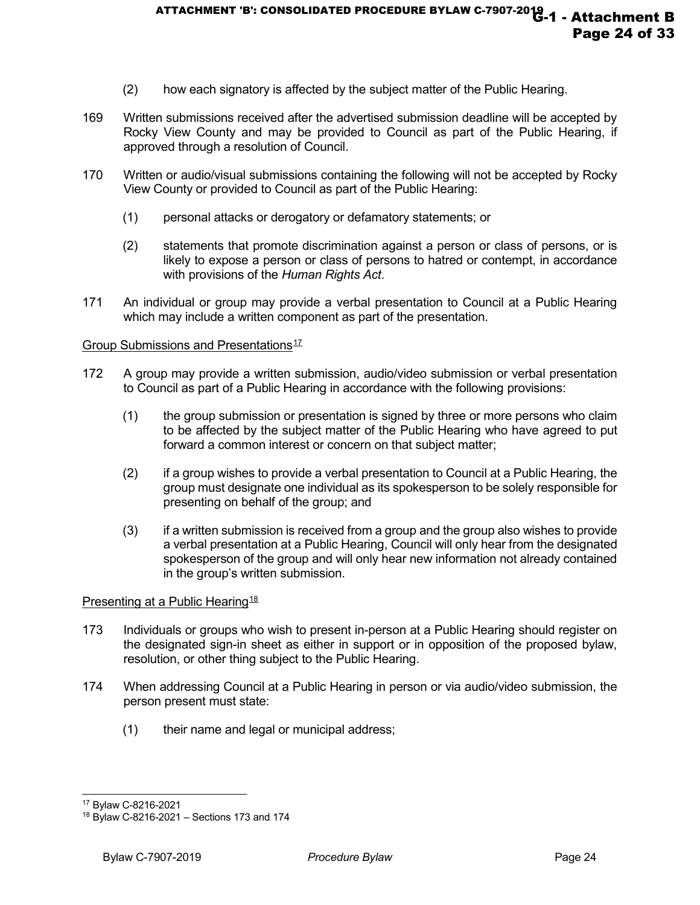- (2) how each signatory is affected by the subject matter of the Public Hearing.
- 169 Written submissions received after the advertised submission deadline will be accepted by Rocky View County and may be provided to Council as part of the Public Hearing, if approved through a resolution of Council.
- 170 Written or audio/visual submissions containing the following will not be accepted by Rocky View County or provided to Council as part of the Public Hearing:
	- (1) personal attacks or derogatory or defamatory statements; or
	- (2) statements that promote discrimination against a person or class of persons, or is likely to expose a person or class of persons to hatred or contempt, in accordance with provisions of the *Human Rights Act*.
- 171 An individual or group may provide a verbal presentation to Council at a Public Hearing which may include a written component as part of the presentation.

#### Group Submissions and Presentations<sup>[17](#page-23-0)</sup>

- 172 A group may provide a written submission, audio/video submission or verbal presentation to Council as part of a Public Hearing in accordance with the following provisions:
	- (1) the group submission or presentation is signed by three or more persons who claim to be affected by the subject matter of the Public Hearing who have agreed to put forward a common interest or concern on that subject matter;
	- (2) if a group wishes to provide a verbal presentation to Council at a Public Hearing, the group must designate one individual as its spokesperson to be solely responsible for presenting on behalf of the group; and
	- (3) if a written submission is received from a group and the group also wishes to provide a verbal presentation at a Public Hearing, Council will only hear from the designated spokesperson of the group and will only hear new information not already contained in the group's written submission.

#### Presenting at a Public Hearing<sup>[18](#page-23-1)</sup>

- 173 Individuals or groups who wish to present in-person at a Public Hearing should register on the designated sign-in sheet as either in support or in opposition of the proposed bylaw, resolution, or other thing subject to the Public Hearing.
- 174 When addressing Council at a Public Hearing in person or via audio/video submission, the person present must state:
	- (1) their name and legal or municipal address;

<sup>-</sup><sup>17</sup> Bylaw C-8216-2021

<span id="page-23-1"></span><span id="page-23-0"></span><sup>18</sup> Bylaw C-8216-2021 – Sections 173 and 174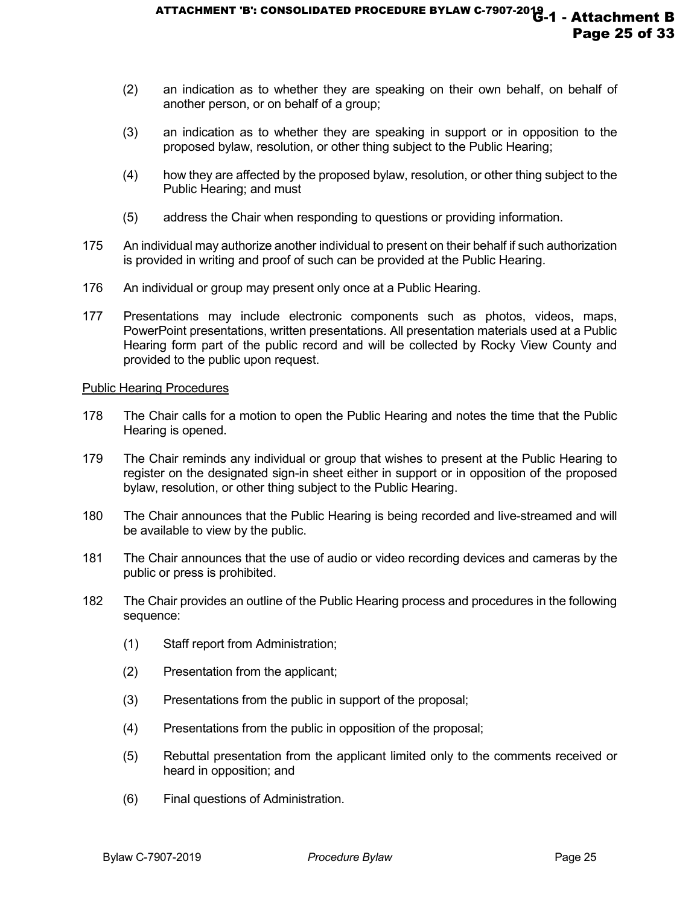- (2) an indication as to whether they are speaking on their own behalf, on behalf of another person, or on behalf of a group;
- (3) an indication as to whether they are speaking in support or in opposition to the proposed bylaw, resolution, or other thing subject to the Public Hearing;
- (4) how they are affected by the proposed bylaw, resolution, or other thing subject to the Public Hearing; and must
- (5) address the Chair when responding to questions or providing information.
- 175 An individual may authorize another individual to present on their behalf if such authorization is provided in writing and proof of such can be provided at the Public Hearing.
- 176 An individual or group may present only once at a Public Hearing.
- 177 Presentations may include electronic components such as photos, videos, maps, PowerPoint presentations, written presentations. All presentation materials used at a Public Hearing form part of the public record and will be collected by Rocky View County and provided to the public upon request.

#### Public Hearing Procedures

- 178 The Chair calls for a motion to open the Public Hearing and notes the time that the Public Hearing is opened.
- 179 The Chair reminds any individual or group that wishes to present at the Public Hearing to register on the designated sign-in sheet either in support or in opposition of the proposed bylaw, resolution, or other thing subject to the Public Hearing.
- 180 The Chair announces that the Public Hearing is being recorded and live-streamed and will be available to view by the public.
- 181 The Chair announces that the use of audio or video recording devices and cameras by the public or press is prohibited.
- 182 The Chair provides an outline of the Public Hearing process and procedures in the following sequence:
	- (1) Staff report from Administration;
	- (2) Presentation from the applicant;
	- (3) Presentations from the public in support of the proposal;
	- (4) Presentations from the public in opposition of the proposal;
	- (5) Rebuttal presentation from the applicant limited only to the comments received or heard in opposition; and
	- (6) Final questions of Administration.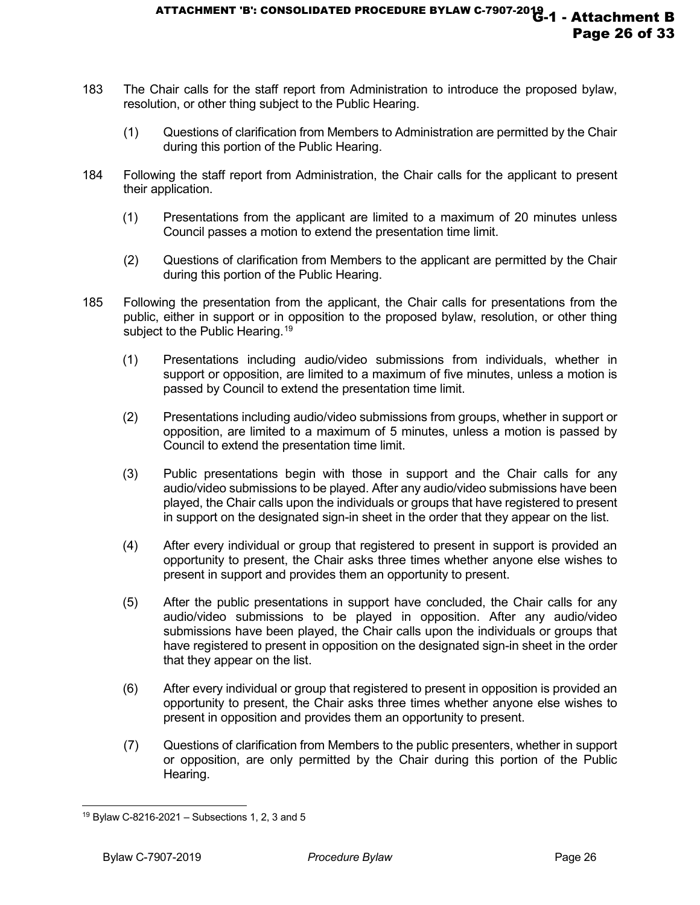- 183 The Chair calls for the staff report from Administration to introduce the proposed bylaw, resolution, or other thing subject to the Public Hearing.
	- (1) Questions of clarification from Members to Administration are permitted by the Chair during this portion of the Public Hearing.
- 184 Following the staff report from Administration, the Chair calls for the applicant to present their application.
	- (1) Presentations from the applicant are limited to a maximum of 20 minutes unless Council passes a motion to extend the presentation time limit.
	- (2) Questions of clarification from Members to the applicant are permitted by the Chair during this portion of the Public Hearing.
- 185 Following the presentation from the applicant, the Chair calls for presentations from the public, either in support or in opposition to the proposed bylaw, resolution, or other thing subject to the Public Hearing.<sup>[19](#page-25-0)</sup>
	- (1) Presentations including audio/video submissions from individuals, whether in support or opposition, are limited to a maximum of five minutes, unless a motion is passed by Council to extend the presentation time limit.
	- (2) Presentations including audio/video submissions from groups, whether in support or opposition, are limited to a maximum of 5 minutes, unless a motion is passed by Council to extend the presentation time limit.
	- (3) Public presentations begin with those in support and the Chair calls for any audio/video submissions to be played. After any audio/video submissions have been played, the Chair calls upon the individuals or groups that have registered to present in support on the designated sign-in sheet in the order that they appear on the list.
	- (4) After every individual or group that registered to present in support is provided an opportunity to present, the Chair asks three times whether anyone else wishes to present in support and provides them an opportunity to present.
	- (5) After the public presentations in support have concluded, the Chair calls for any audio/video submissions to be played in opposition. After any audio/video submissions have been played, the Chair calls upon the individuals or groups that have registered to present in opposition on the designated sign-in sheet in the order that they appear on the list.
	- (6) After every individual or group that registered to present in opposition is provided an opportunity to present, the Chair asks three times whether anyone else wishes to present in opposition and provides them an opportunity to present.
	- (7) Questions of clarification from Members to the public presenters, whether in support or opposition, are only permitted by the Chair during this portion of the Public Hearing.

<span id="page-25-0"></span><sup>-</sup> $19$  Bylaw C-8216-2021 – Subsections 1, 2, 3 and 5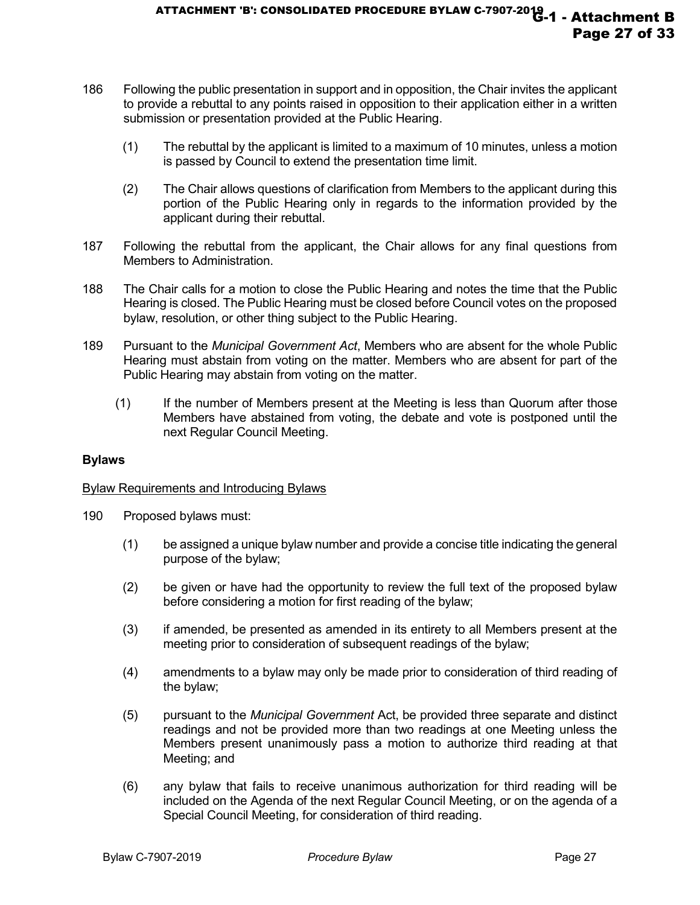- 186 Following the public presentation in support and in opposition, the Chair invites the applicant to provide a rebuttal to any points raised in opposition to their application either in a written submission or presentation provided at the Public Hearing.
	- (1) The rebuttal by the applicant is limited to a maximum of 10 minutes, unless a motion is passed by Council to extend the presentation time limit.
	- (2) The Chair allows questions of clarification from Members to the applicant during this portion of the Public Hearing only in regards to the information provided by the applicant during their rebuttal.
- 187 Following the rebuttal from the applicant, the Chair allows for any final questions from Members to Administration.
- 188 The Chair calls for a motion to close the Public Hearing and notes the time that the Public Hearing is closed. The Public Hearing must be closed before Council votes on the proposed bylaw, resolution, or other thing subject to the Public Hearing.
- 189 Pursuant to the *Municipal Government Act*, Members who are absent for the whole Public Hearing must abstain from voting on the matter. Members who are absent for part of the Public Hearing may abstain from voting on the matter.
	- (1) If the number of Members present at the Meeting is less than Quorum after those Members have abstained from voting, the debate and vote is postponed until the next Regular Council Meeting.

#### **Bylaws**

#### Bylaw Requirements and Introducing Bylaws

- 190 Proposed bylaws must:
	- (1) be assigned a unique bylaw number and provide a concise title indicating the general purpose of the bylaw;
	- (2) be given or have had the opportunity to review the full text of the proposed bylaw before considering a motion for first reading of the bylaw;
	- (3) if amended, be presented as amended in its entirety to all Members present at the meeting prior to consideration of subsequent readings of the bylaw;
	- (4) amendments to a bylaw may only be made prior to consideration of third reading of the bylaw;
	- (5) pursuant to the *Municipal Government* Act, be provided three separate and distinct readings and not be provided more than two readings at one Meeting unless the Members present unanimously pass a motion to authorize third reading at that Meeting; and
	- (6) any bylaw that fails to receive unanimous authorization for third reading will be included on the Agenda of the next Regular Council Meeting, or on the agenda of a Special Council Meeting, for consideration of third reading.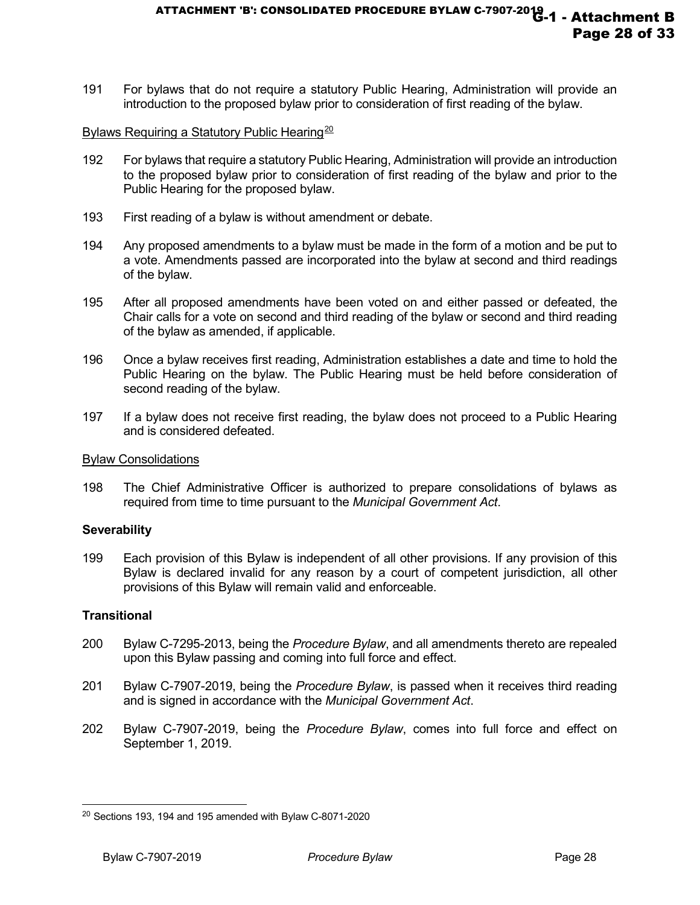191 For bylaws that do not require a statutory Public Hearing, Administration will provide an introduction to the proposed bylaw prior to consideration of first reading of the bylaw.

#### Bylaws Requiring a Statutory Public Hearing<sup>[20](#page-27-0)</sup>

- 192 For bylaws that require a statutory Public Hearing, Administration will provide an introduction to the proposed bylaw prior to consideration of first reading of the bylaw and prior to the Public Hearing for the proposed bylaw.
- 193 First reading of a bylaw is without amendment or debate.
- 194 Any proposed amendments to a bylaw must be made in the form of a motion and be put to a vote. Amendments passed are incorporated into the bylaw at second and third readings of the bylaw.
- 195 After all proposed amendments have been voted on and either passed or defeated, the Chair calls for a vote on second and third reading of the bylaw or second and third reading of the bylaw as amended, if applicable.
- 196 Once a bylaw receives first reading, Administration establishes a date and time to hold the Public Hearing on the bylaw. The Public Hearing must be held before consideration of second reading of the bylaw.
- 197 If a bylaw does not receive first reading, the bylaw does not proceed to a Public Hearing and is considered defeated.

#### Bylaw Consolidations

198 The Chief Administrative Officer is authorized to prepare consolidations of bylaws as required from time to time pursuant to the *Municipal Government Act*.

#### **Severability**

199 Each provision of this Bylaw is independent of all other provisions. If any provision of this Bylaw is declared invalid for any reason by a court of competent jurisdiction, all other provisions of this Bylaw will remain valid and enforceable.

#### **Transitional**

j

- 200 Bylaw C-7295-2013, being the *Procedure Bylaw*, and all amendments thereto are repealed upon this Bylaw passing and coming into full force and effect.
- 201 Bylaw C-7907-2019, being the *Procedure Bylaw*, is passed when it receives third reading and is signed in accordance with the *Municipal Government Act*.
- 202 Bylaw C-7907-2019, being the *Procedure Bylaw*, comes into full force and effect on September 1, 2019.

<span id="page-27-0"></span><sup>20</sup> Sections 193, 194 and 195 amended with Bylaw C-8071-2020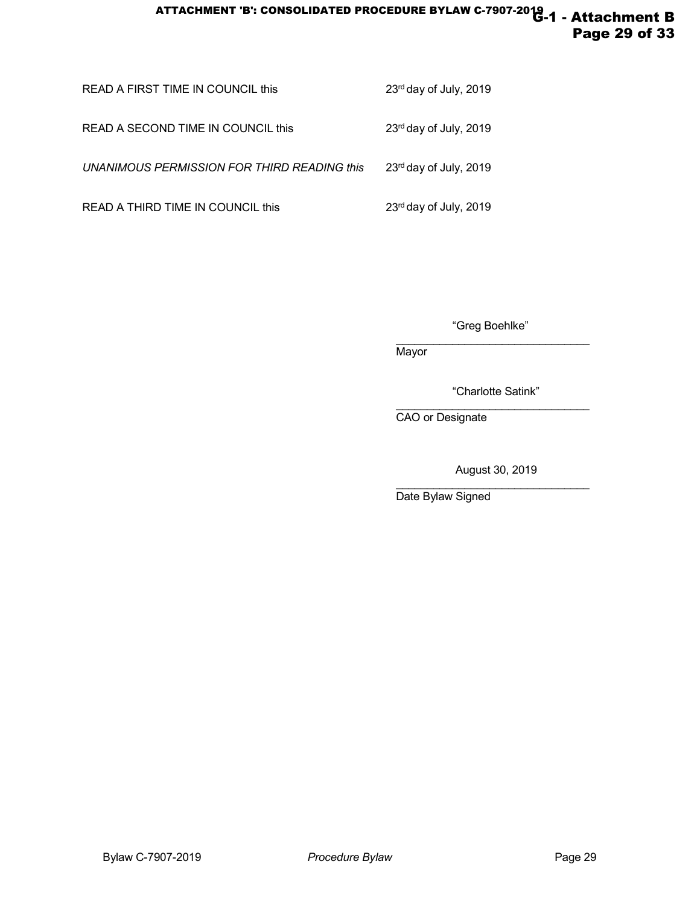# ATTACHMENT 'B': CONSOLIDATED PROCEDURE BYLAW C-7907-2019 -1 - Attachment B Page 29 of 33

| READ A FIRST TIME IN COUNCIL this           | 23rd day of July, 2019 |
|---------------------------------------------|------------------------|
| READ A SECOND TIME IN COUNCIL this          | 23rd day of July, 2019 |
| UNANIMOUS PERMISSION FOR THIRD READING this | 23rd day of July, 2019 |
| READ A THIRD TIME IN COUNCIL this           | 23rd day of July, 2019 |

"Greg Boehlke"

\_\_\_\_\_\_\_\_\_\_\_\_\_\_\_\_\_\_\_\_\_\_\_\_\_\_\_\_\_\_\_ **Mayor** 

"Charlotte Satink"

\_\_\_\_\_\_\_\_\_\_\_\_\_\_\_\_\_\_\_\_\_\_\_\_\_\_\_\_\_\_\_ CAO or Designate

August 30, 2019

\_\_\_\_\_\_\_\_\_\_\_\_\_\_\_\_\_\_\_\_\_\_\_\_\_\_\_\_\_\_\_ Date Bylaw Signed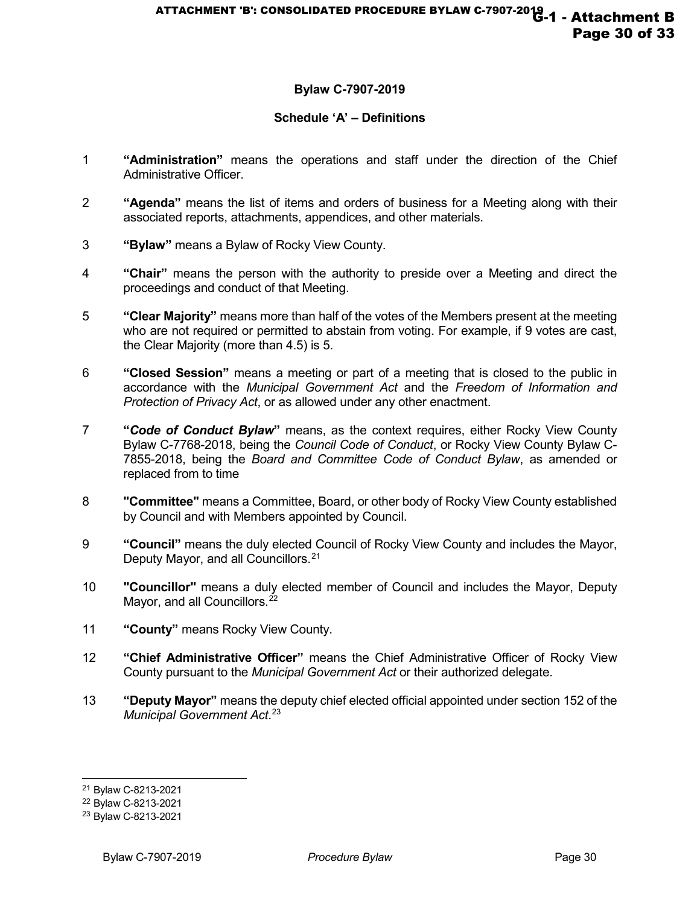# **Bylaw C-7907-2019**

# **Schedule 'A' – Definitions**

- 1 **"Administration"** means the operations and staff under the direction of the Chief Administrative Officer.
- 2 **"Agenda"** means the list of items and orders of business for a Meeting along with their associated reports, attachments, appendices, and other materials.
- 3 **"Bylaw"** means a Bylaw of Rocky View County.
- 4 **"Chair"** means the person with the authority to preside over a Meeting and direct the proceedings and conduct of that Meeting.
- 5 **"Clear Majority"** means more than half of the votes of the Members present at the meeting who are not required or permitted to abstain from voting. For example, if 9 votes are cast, the Clear Majority (more than 4.5) is 5.
- 6 **"Closed Session"** means a meeting or part of a meeting that is closed to the public in accordance with the *Municipal Government Act* and the *Freedom of Information and Protection of Privacy Act*, or as allowed under any other enactment.
- 7 **"***Code of Conduct Bylaw***"** means, as the context requires, either Rocky View County Bylaw C-7768-2018, being the *Council Code of Conduct*, or Rocky View County Bylaw C-7855-2018, being the *Board and Committee Code of Conduct Bylaw*, as amended or replaced from to time
- 8 **"Committee"** means a Committee, Board, or other body of Rocky View County established by Council and with Members appointed by Council.
- 9 **"Council"** means the duly elected Council of Rocky View County and includes the Mayor, Deputy Mayor, and all Councillors.<sup>[21](#page-29-0)</sup>
- 10 **"Councillor"** means a duly elected member of Council and includes the Mayor, Deputy Mayor, and all Councillors.<sup>[22](#page-29-1)</sup>
- 11 **"County"** means Rocky View County.
- 12 **"Chief Administrative Officer"** means the Chief Administrative Officer of Rocky View County pursuant to the *Municipal Government Act* or their authorized delegate.
- 13 **"Deputy Mayor"** means the deputy chief elected official appointed under section 152 of the *Municipal Government Act*. [23](#page-29-2)

j <sup>21</sup> Bylaw C-8213-2021

<span id="page-29-1"></span><span id="page-29-0"></span><sup>22</sup> Bylaw C-8213-2021

<span id="page-29-2"></span><sup>23</sup> Bylaw C-8213-2021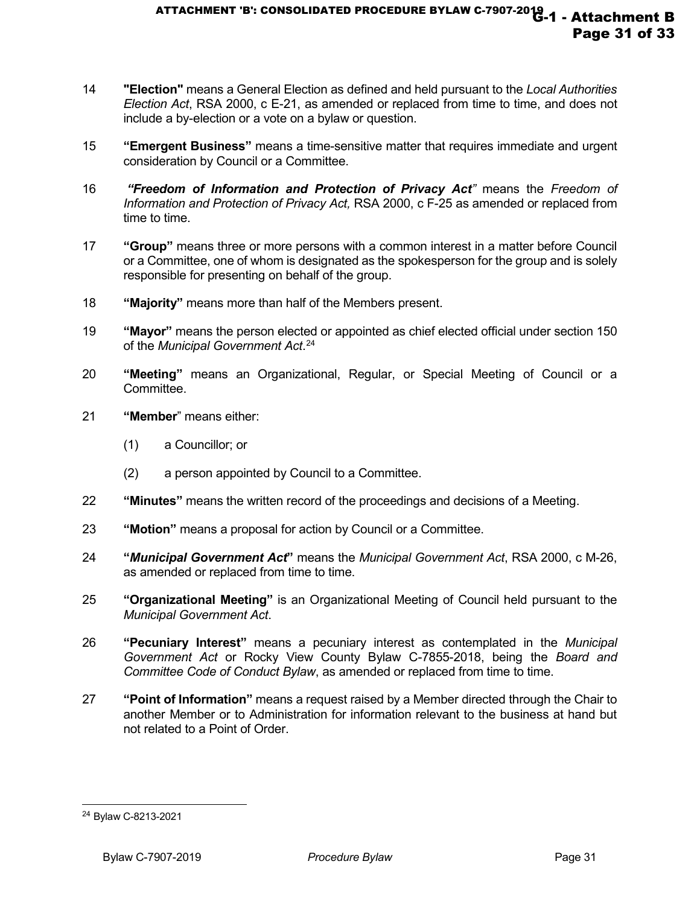- 14 **"Election"** means a General Election as defined and held pursuant to the *Local Authorities Election Act*, RSA 2000, c E-21, as amended or replaced from time to time, and does not include a by-election or a vote on a bylaw or question.
- 15 **"Emergent Business"** means a time-sensitive matter that requires immediate and urgent consideration by Council or a Committee.
- 16 *"Freedom of Information and Protection of Privacy Act"* means the *Freedom of Information and Protection of Privacy Act,* RSA 2000, c F-25 as amended or replaced from time to time.
- 17 **"Group"** means three or more persons with a common interest in a matter before Council or a Committee, one of whom is designated as the spokesperson for the group and is solely responsible for presenting on behalf of the group.
- 18 **"Majority"** means more than half of the Members present.
- 19 **"Mayor"** means the person elected or appointed as chief elected official under section 150 of the *Municipal Government Act*. [24](#page-30-0)
- 20 **"Meeting"** means an Organizational, Regular, or Special Meeting of Council or a Committee.
- 21 **"Member**" means either:
	- (1) a Councillor; or
	- (2) a person appointed by Council to a Committee.
- 22 **"Minutes"** means the written record of the proceedings and decisions of a Meeting.
- 23 **"Motion"** means a proposal for action by Council or a Committee.
- 24 **"***Municipal Government Act***"** means the *Municipal Government Act*, RSA 2000, c M-26, as amended or replaced from time to time.
- 25 **"Organizational Meeting"** is an Organizational Meeting of Council held pursuant to the *Municipal Government Act*.
- 26 **"Pecuniary Interest"** means a pecuniary interest as contemplated in the *Municipal Government Act* or Rocky View County Bylaw C-7855-2018, being the *Board and Committee Code of Conduct Bylaw*, as amended or replaced from time to time.
- 27 **"Point of Information"** means a request raised by a Member directed through the Chair to another Member or to Administration for information relevant to the business at hand but not related to a Point of Order.

j

<span id="page-30-0"></span><sup>24</sup> Bylaw C-8213-2021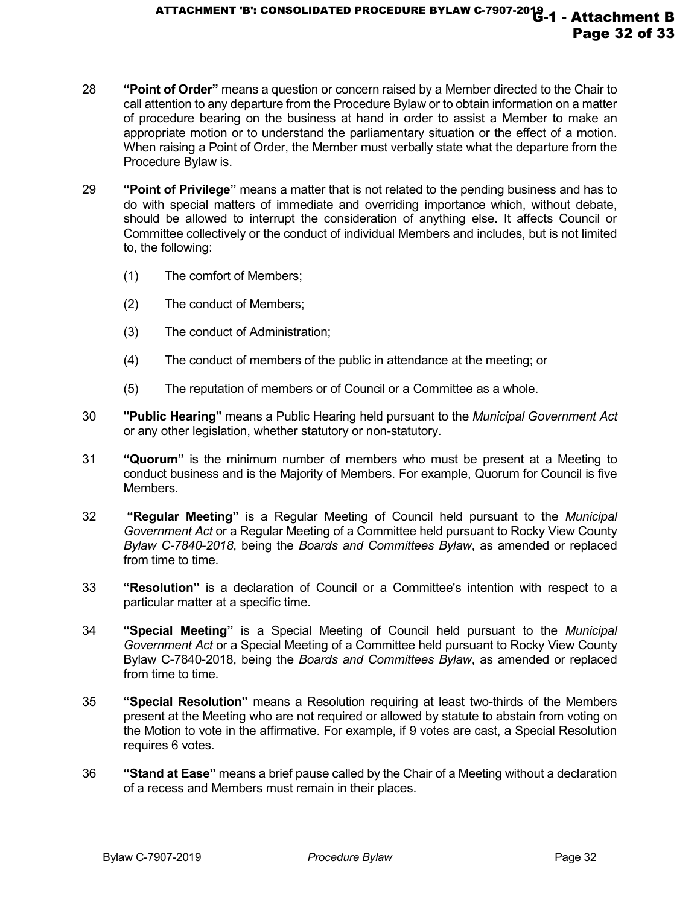- 28 **"Point of Order"** means a question or concern raised by a Member directed to the Chair to call attention to any departure from the Procedure Bylaw or to obtain information on a matter of procedure bearing on the business at hand in order to assist a Member to make an appropriate motion or to understand the parliamentary situation or the effect of a motion. When raising a Point of Order, the Member must verbally state what the departure from the Procedure Bylaw is.
- 29 **"Point of Privilege"** means a matter that is not related to the pending business and has to do with special matters of immediate and overriding importance which, without debate, should be allowed to interrupt the consideration of anything else. It affects Council or Committee collectively or the conduct of individual Members and includes, but is not limited to, the following:
	- (1) The comfort of Members;
	- (2) The conduct of Members;
	- (3) The conduct of Administration;
	- (4) The conduct of members of the public in attendance at the meeting; or
	- (5) The reputation of members or of Council or a Committee as a whole.
- 30 **"Public Hearing"** means a Public Hearing held pursuant to the *Municipal Government Act*  or any other legislation, whether statutory or non-statutory.
- 31 **"Quorum"** is the minimum number of members who must be present at a Meeting to conduct business and is the Majority of Members. For example, Quorum for Council is five Members.
- 32 **"Regular Meeting"** is a Regular Meeting of Council held pursuant to the *Municipal Government Act* or a Regular Meeting of a Committee held pursuant to Rocky View County *Bylaw C-7840-2018*, being the *Boards and Committees Bylaw*, as amended or replaced from time to time.
- 33 **"Resolution"** is a declaration of Council or a Committee's intention with respect to a particular matter at a specific time.
- 34 **"Special Meeting"** is a Special Meeting of Council held pursuant to the *Municipal Government Act* or a Special Meeting of a Committee held pursuant to Rocky View County Bylaw C-7840-2018, being the *Boards and Committees Bylaw*, as amended or replaced from time to time.
- 35 **"Special Resolution"** means a Resolution requiring at least two-thirds of the Members present at the Meeting who are not required or allowed by statute to abstain from voting on the Motion to vote in the affirmative. For example, if 9 votes are cast, a Special Resolution requires 6 votes.
- 36 **"Stand at Ease"** means a brief pause called by the Chair of a Meeting without a declaration of a recess and Members must remain in their places.